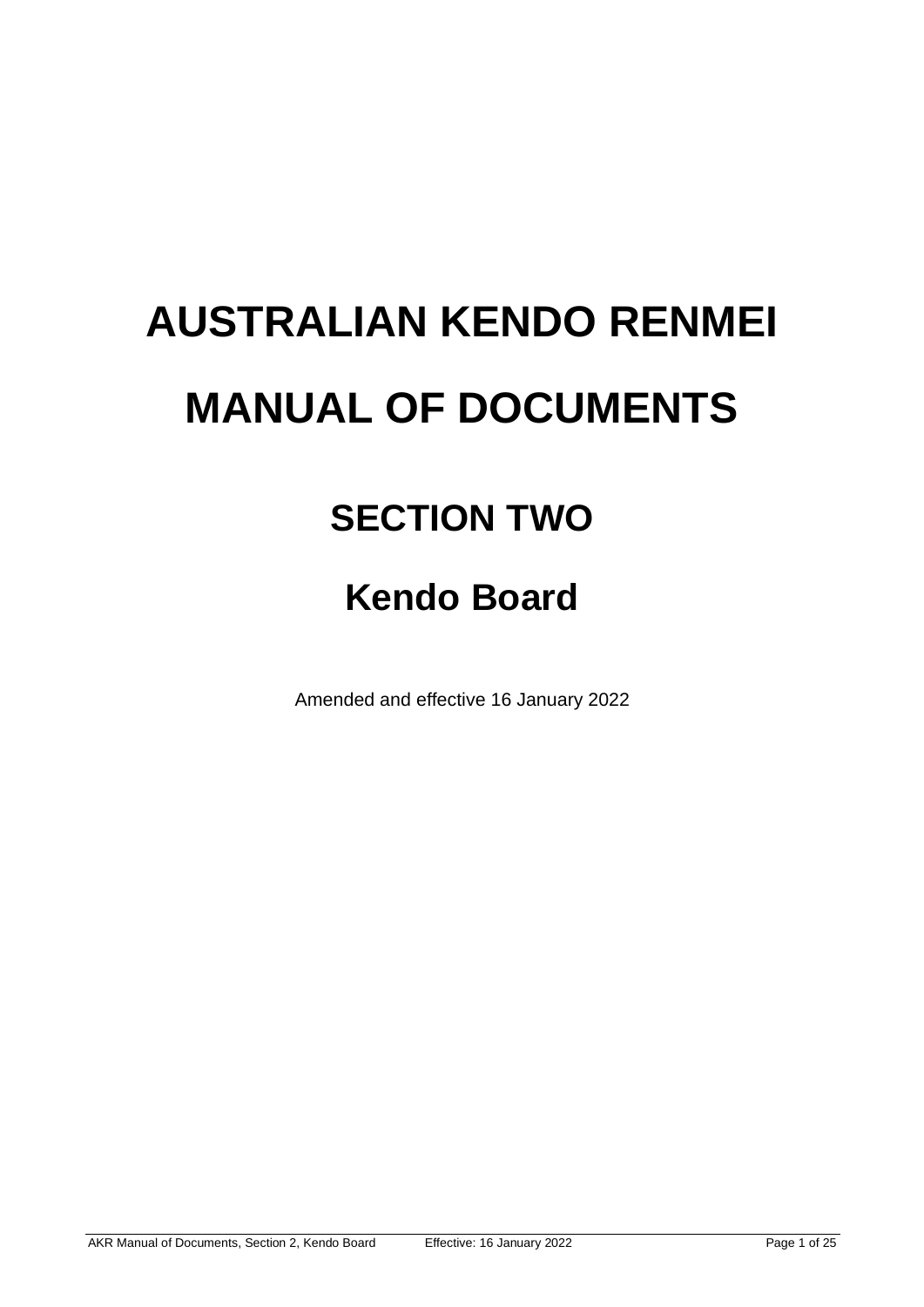# **AUSTRALIAN KENDO RENMEI MANUAL OF DOCUMENTS**

# **SECTION TWO**

# **Kendo Board**

Amended and effective 16 January 2022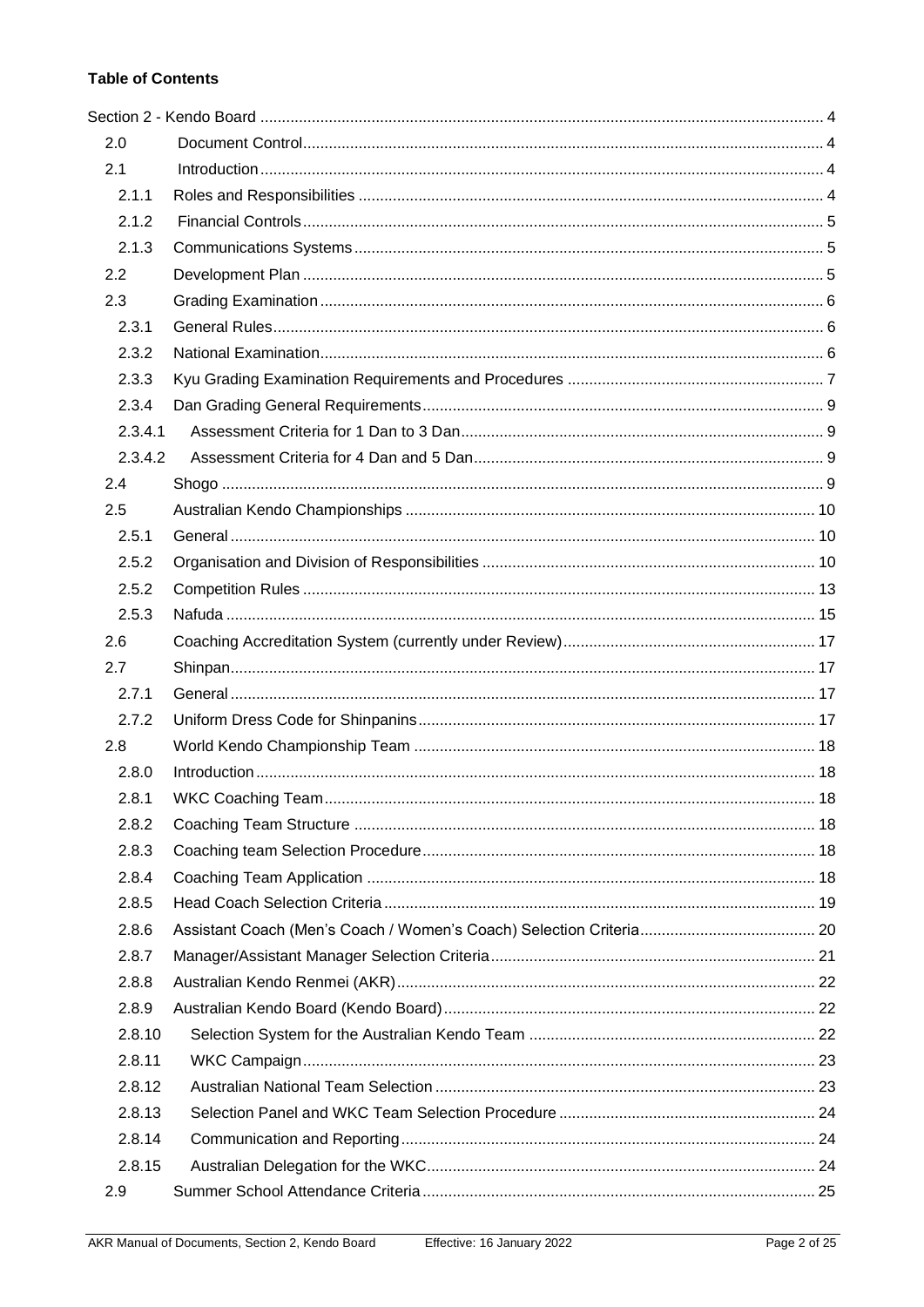# **Table of Contents**

| 2.0     |  |  |  |
|---------|--|--|--|
| 2.1     |  |  |  |
| 2.1.1   |  |  |  |
| 2.1.2   |  |  |  |
| 2.1.3   |  |  |  |
| 2.2     |  |  |  |
| 2.3     |  |  |  |
| 2.3.1   |  |  |  |
| 2.3.2   |  |  |  |
| 2.3.3   |  |  |  |
| 2.3.4   |  |  |  |
| 2.3.4.1 |  |  |  |
| 2.3.4.2 |  |  |  |
| 2.4     |  |  |  |
| 2.5     |  |  |  |
| 2.5.1   |  |  |  |
| 2.5.2   |  |  |  |
| 2.5.2   |  |  |  |
| 2.5.3   |  |  |  |
| 2.6     |  |  |  |
| 2.7     |  |  |  |
| 2.7.1   |  |  |  |
| 2.7.2   |  |  |  |
| 2.8     |  |  |  |
| 2.8.0   |  |  |  |
| 2.8.1   |  |  |  |
| 2.8.2   |  |  |  |
| 2.8.3   |  |  |  |
| 2.8.4   |  |  |  |
| 2.8.5   |  |  |  |
| 2.8.6   |  |  |  |
| 2.8.7   |  |  |  |
| 2.8.8   |  |  |  |
| 2.8.9   |  |  |  |
| 2.8.10  |  |  |  |
| 2.8.11  |  |  |  |
| 2.8.12  |  |  |  |
| 2.8.13  |  |  |  |
| 2.8.14  |  |  |  |
| 2.8.15  |  |  |  |
| 2.9     |  |  |  |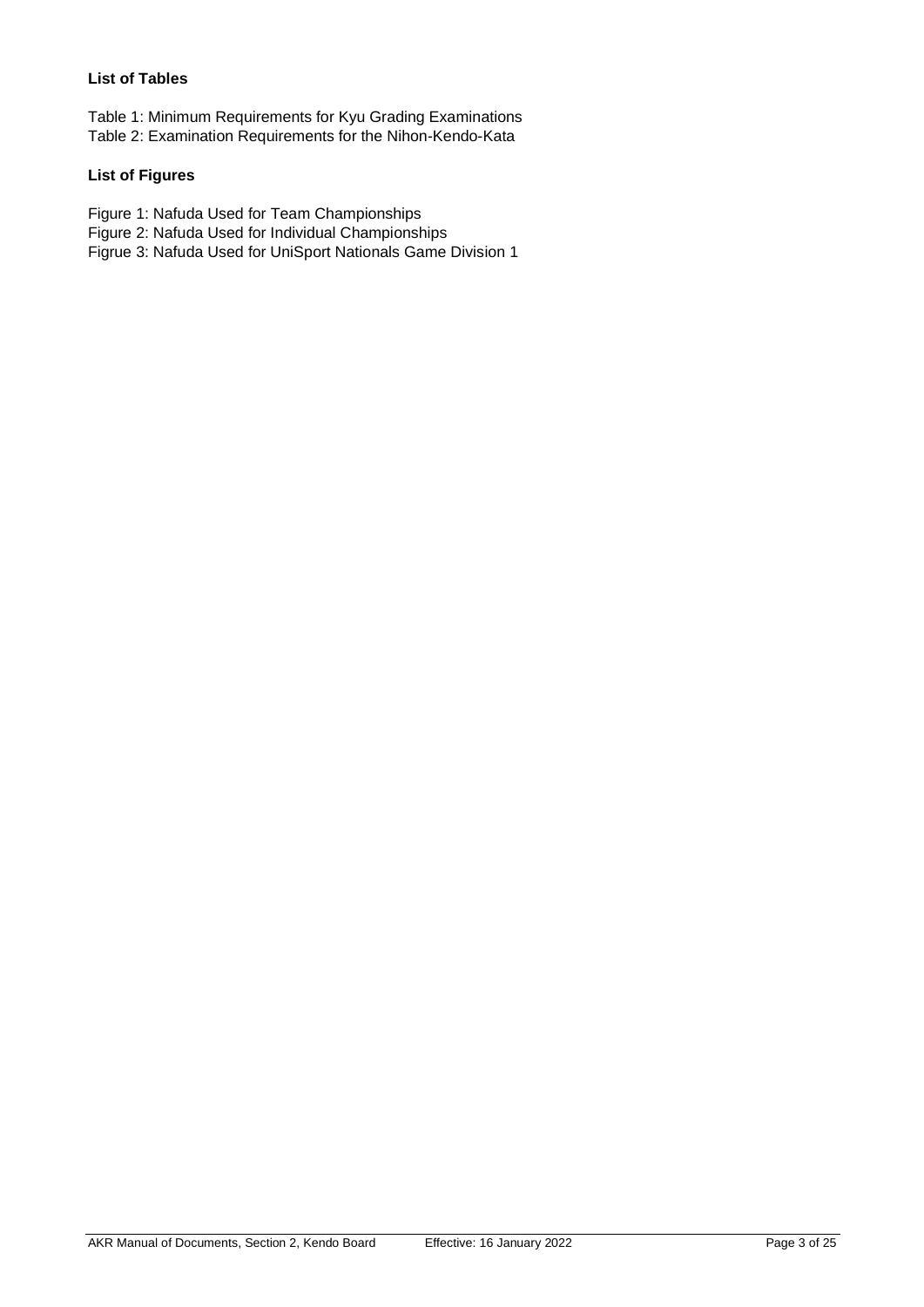### **List of Tables**

Table 1: Minimum Requirements for Kyu Grading Examinations Table 2: Examination Requirements for the Nihon-Kendo-Kata

#### **List of Figures**

Figure 1: Nafuda Used for Team Championships

Figure 2: Nafuda Used for Individual Championships

Figrue 3: Nafuda Used for UniSport Nationals Game Division 1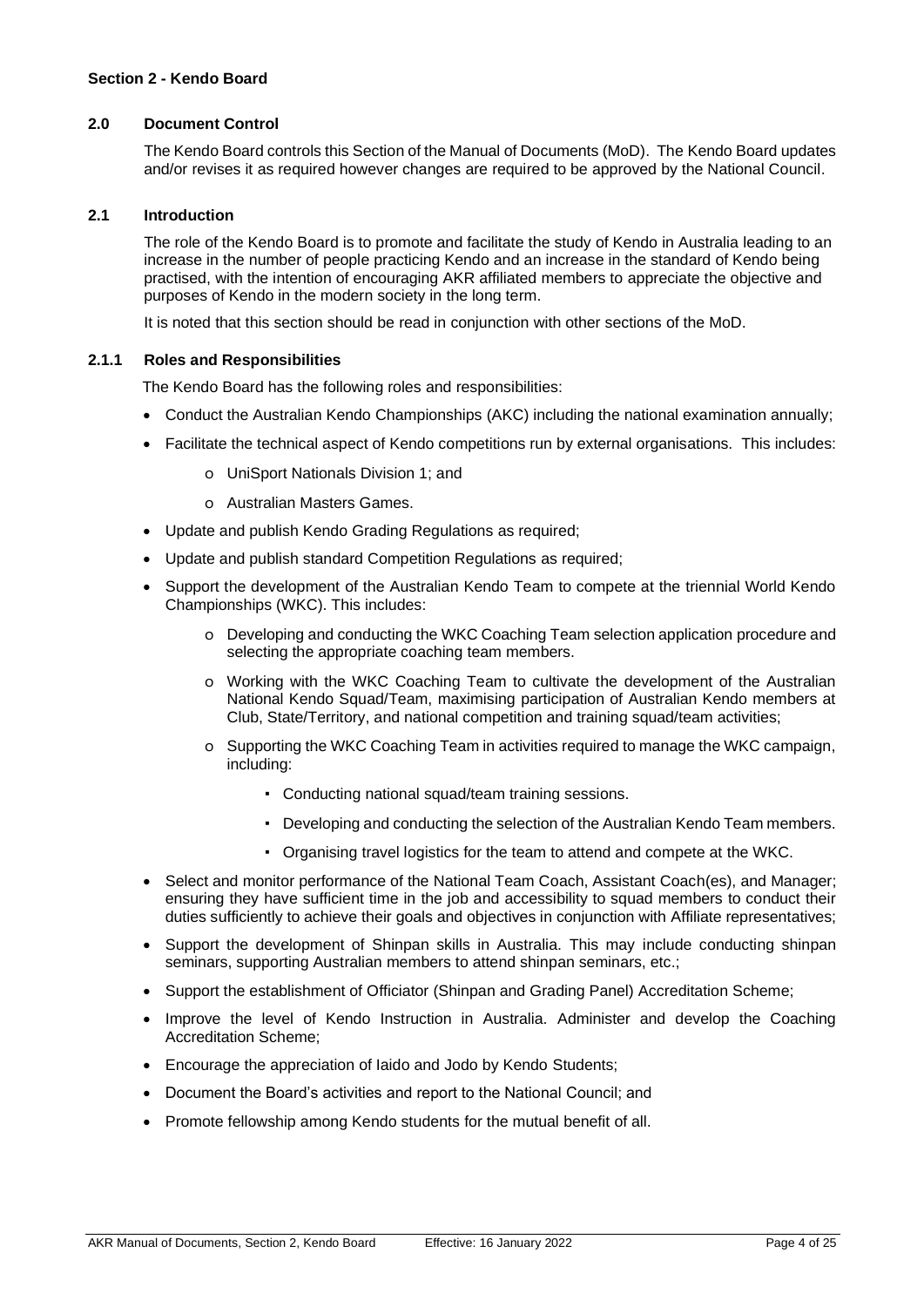#### <span id="page-3-1"></span><span id="page-3-0"></span>**2.0 Document Control**

The Kendo Board controls this Section of the Manual of Documents (MoD). The Kendo Board updates and/or revises it as required however changes are required to be approved by the National Council.

#### <span id="page-3-2"></span>**2.1 Introduction**

The role of the Kendo Board is to promote and facilitate the study of Kendo in Australia leading to an increase in the number of people practicing Kendo and an increase in the standard of Kendo being practised, with the intention of encouraging AKR affiliated members to appreciate the objective and purposes of Kendo in the modern society in the long term.

It is noted that this section should be read in conjunction with other sections of the MoD.

#### <span id="page-3-3"></span>**2.1.1 Roles and Responsibilities**

The Kendo Board has the following roles and responsibilities:

- Conduct the Australian Kendo Championships (AKC) including the national examination annually;
- Facilitate the technical aspect of Kendo competitions run by external organisations. This includes:
	- o UniSport Nationals Division 1; and
	- o Australian Masters Games.
- Update and publish Kendo Grading Regulations as required;
- Update and publish standard Competition Regulations as required;
- Support the development of the Australian Kendo Team to compete at the triennial World Kendo Championships (WKC). This includes:
	- o Developing and conducting the WKC Coaching Team selection application procedure and selecting the appropriate coaching team members.
	- o Working with the WKC Coaching Team to cultivate the development of the Australian National Kendo Squad/Team, maximising participation of Australian Kendo members at Club, State/Territory, and national competition and training squad/team activities;
	- o Supporting the WKC Coaching Team in activities required to manage the WKC campaign, including:
		- Conducting national squad/team training sessions.
		- Developing and conducting the selection of the Australian Kendo Team members.
		- Organising travel logistics for the team to attend and compete at the WKC.
- Select and monitor performance of the National Team Coach, Assistant Coach(es), and Manager; ensuring they have sufficient time in the job and accessibility to squad members to conduct their duties sufficiently to achieve their goals and objectives in conjunction with Affiliate representatives;
- Support the development of Shinpan skills in Australia. This may include conducting shinpan seminars, supporting Australian members to attend shinpan seminars, etc.;
- Support the establishment of Officiator (Shinpan and Grading Panel) Accreditation Scheme;
- Improve the level of Kendo Instruction in Australia. Administer and develop the Coaching Accreditation Scheme;
- Encourage the appreciation of Iaido and Jodo by Kendo Students;
- Document the Board's activities and report to the National Council; and
- Promote fellowship among Kendo students for the mutual benefit of all.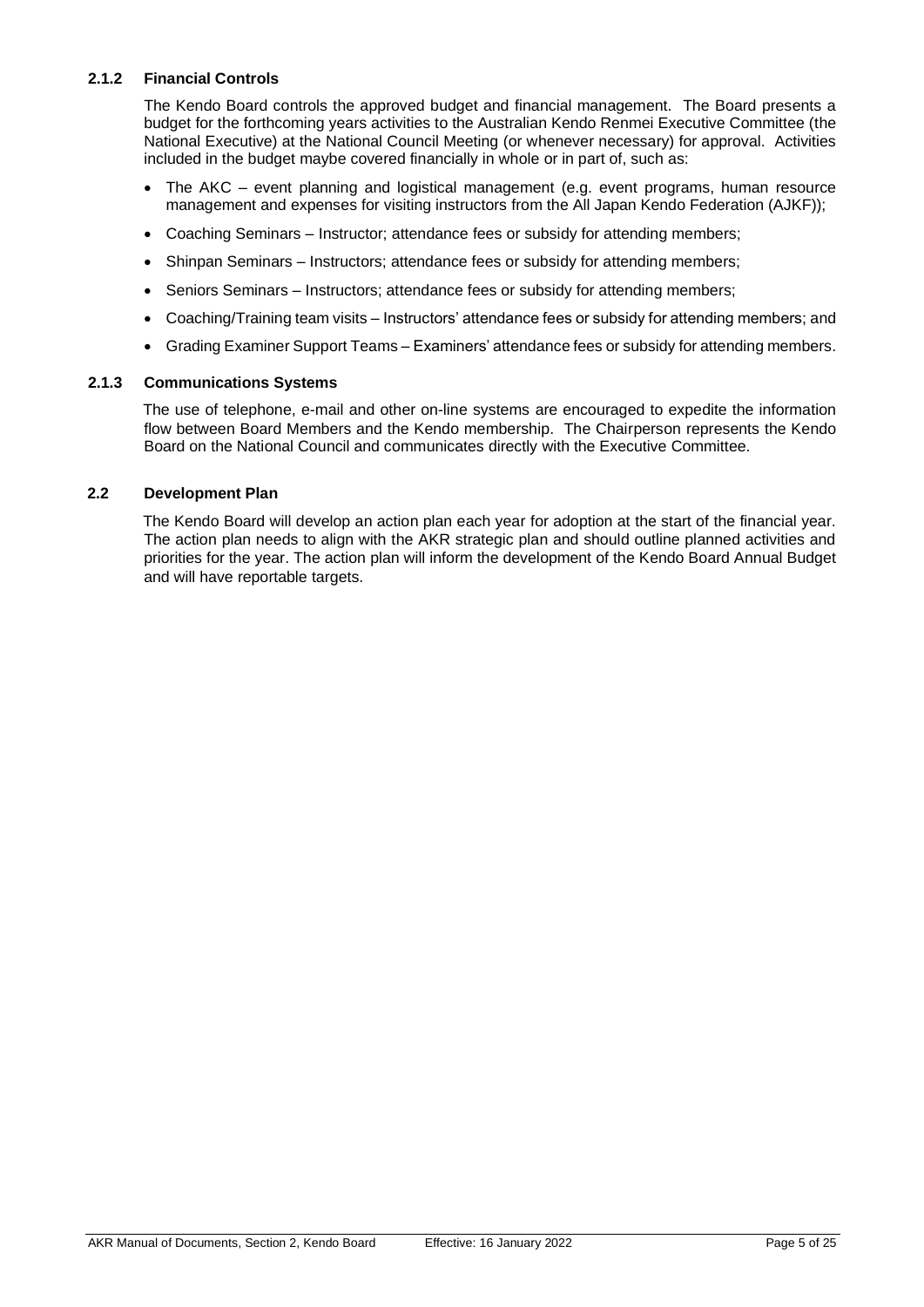#### <span id="page-4-0"></span>**2.1.2 Financial Controls**

The Kendo Board controls the approved budget and financial management. The Board presents a budget for the forthcoming years activities to the Australian Kendo Renmei Executive Committee (the National Executive) at the National Council Meeting (or whenever necessary) for approval. Activities included in the budget maybe covered financially in whole or in part of, such as:

- The AKC event planning and logistical management (e.g. event programs, human resource management and expenses for visiting instructors from the All Japan Kendo Federation (AJKF));
- Coaching Seminars Instructor; attendance fees or subsidy for attending members;
- Shinpan Seminars Instructors; attendance fees or subsidy for attending members;
- Seniors Seminars Instructors; attendance fees or subsidy for attending members;
- Coaching/Training team visits Instructors' attendance fees or subsidy for attending members; and
- Grading Examiner Support Teams Examiners' attendance fees or subsidy for attending members.

#### <span id="page-4-1"></span>**2.1.3 Communications Systems**

The use of telephone, e-mail and other on-line systems are encouraged to expedite the information flow between Board Members and the Kendo membership. The Chairperson represents the Kendo Board on the National Council and communicates directly with the Executive Committee.

#### <span id="page-4-2"></span>**2.2 Development Plan**

The Kendo Board will develop an action plan each year for adoption at the start of the financial year. The action plan needs to align with the AKR strategic plan and should outline planned activities and priorities for the year. The action plan will inform the development of the Kendo Board Annual Budget and will have reportable targets.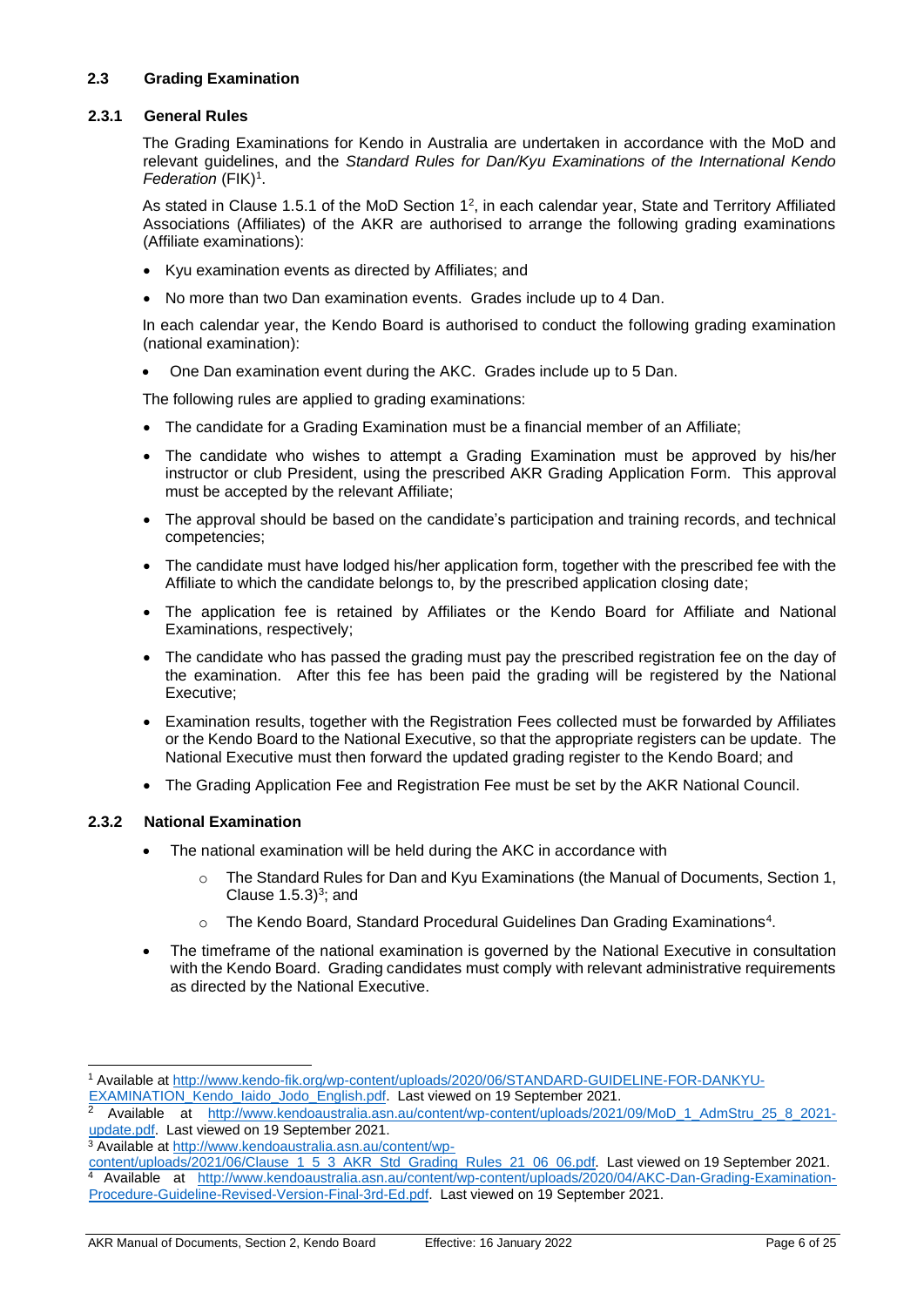#### <span id="page-5-1"></span><span id="page-5-0"></span>**2.3 Grading Examination**

#### **2.3.1 General Rules**

The Grading Examinations for Kendo in Australia are undertaken in accordance with the MoD and relevant guidelines, and the *Standard Rules for Dan/Kyu Examinations of the International Kendo*  Federation (FIK)<sup>1</sup>.

As stated in Clause 1.5.1 of the MoD Section  $1^2$ , in each calendar year, State and Territory Affiliated Associations (Affiliates) of the AKR are authorised to arrange the following grading examinations (Affiliate examinations):

- Kyu examination events as directed by Affiliates; and
- No more than two Dan examination events. Grades include up to 4 Dan.

In each calendar year, the Kendo Board is authorised to conduct the following grading examination (national examination):

• One Dan examination event during the AKC. Grades include up to 5 Dan.

The following rules are applied to grading examinations:

- The candidate for a Grading Examination must be a financial member of an Affiliate;
- The candidate who wishes to attempt a Grading Examination must be approved by his/her instructor or club President, using the prescribed AKR Grading Application Form. This approval must be accepted by the relevant Affiliate;
- The approval should be based on the candidate's participation and training records, and technical competencies;
- The candidate must have lodged his/her application form, together with the prescribed fee with the Affiliate to which the candidate belongs to, by the prescribed application closing date;
- The application fee is retained by Affiliates or the Kendo Board for Affiliate and National Examinations, respectively;
- The candidate who has passed the grading must pay the prescribed registration fee on the day of the examination. After this fee has been paid the grading will be registered by the National Executive;
- Examination results, together with the Registration Fees collected must be forwarded by Affiliates or the Kendo Board to the National Executive, so that the appropriate registers can be update. The National Executive must then forward the updated grading register to the Kendo Board; and
- The Grading Application Fee and Registration Fee must be set by the AKR National Council.

#### <span id="page-5-2"></span>**2.3.2 National Examination**

- The national examination will be held during the AKC in accordance with
	- o The Standard Rules for Dan and Kyu Examinations (the Manual of Documents, Section 1, Clause  $1.5.3$ <sup>3</sup>; and
	- o The Kendo Board, Standard Procedural Guidelines Dan Grading Examinations<sup>4</sup>.
- The timeframe of the national examination is governed by the National Executive in consultation with the Kendo Board. Grading candidates must comply with relevant administrative requirements as directed by the National Executive.

<sup>3</sup> Available a[t http://www.kendoaustralia.asn.au/content/wp-](http://www.kendoaustralia.asn.au/content/wp-content/uploads/2021/06/Clause_1_5_3_AKR_Std_Grading_Rules_21_06_06.pdf)

AKR Manual of Documents, Section 2, Kendo Board Effective: 16 January 2022 Page 6 of 25

<sup>1</sup> Available a[t http://www.kendo-fik.org/wp-content/uploads/2020/06/STANDARD-GUIDELINE-FOR-DANKYU-](http://www.kendo-fik.org/wp-content/uploads/2020/06/STANDARD-GUIDELINE-FOR-DANKYU-EXAMINATION_Kendo_Iaido_Jodo_English.pdf)EXAMINATION\_Kendo\_laido\_Jodo\_English.pdf. Last viewed on 19 September 2021.

<sup>2</sup> Available at [http://www.kendoaustralia.asn.au/content/wp-content/uploads/2021/09/MoD\\_1\\_AdmStru\\_25\\_8\\_2021](http://www.kendoaustralia.asn.au/content/wp-content/uploads/2021/09/MoD_1_AdmStru_25_8_2021-update.pdf) [update.pdf.](http://www.kendoaustralia.asn.au/content/wp-content/uploads/2021/09/MoD_1_AdmStru_25_8_2021-update.pdf) Last viewed on 19 September 2021.

[content/uploads/2021/06/Clause\\_1\\_5\\_3\\_AKR\\_Std\\_Grading\\_Rules\\_21\\_06\\_06.pdf.](http://www.kendoaustralia.asn.au/content/wp-content/uploads/2021/06/Clause_1_5_3_AKR_Std_Grading_Rules_21_06_06.pdf) Last viewed on 19 September 2021.

<sup>4</sup> Available at [http://www.kendoaustralia.asn.au/content/wp-content/uploads/2020/04/AKC-Dan-Grading-Examination-](http://www.kendoaustralia.asn.au/content/wp-content/uploads/2020/04/AKC-Dan-Grading-Examination-Procedure-Guideline-Revised-Version-Final-3rd-Ed.pdf)[Procedure-Guideline-Revised-Version-Final-3rd-Ed.pdf.](http://www.kendoaustralia.asn.au/content/wp-content/uploads/2020/04/AKC-Dan-Grading-Examination-Procedure-Guideline-Revised-Version-Final-3rd-Ed.pdf) Last viewed on 19 September 2021.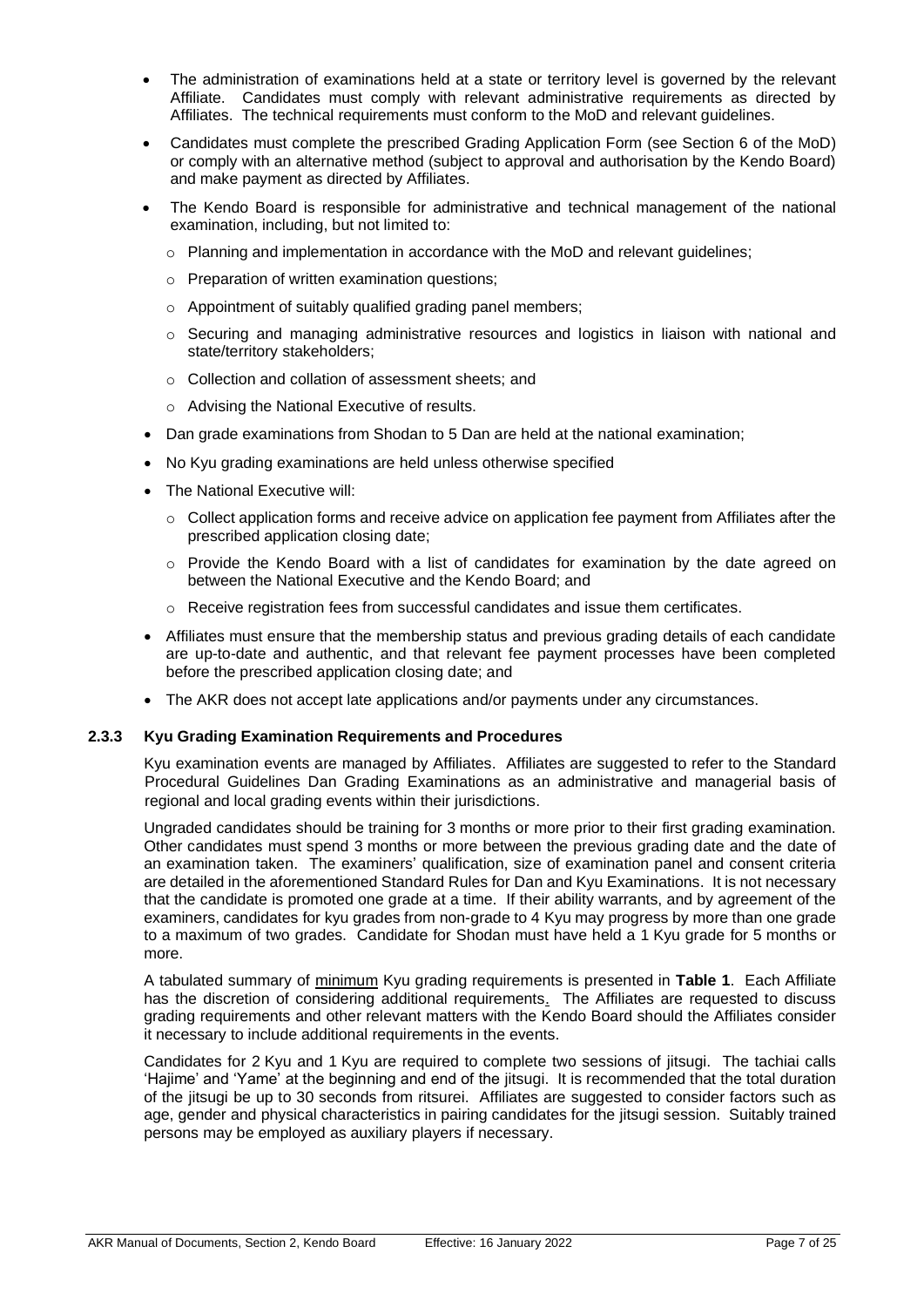- The administration of examinations held at a state or territory level is governed by the relevant Affiliate. Candidates must comply with relevant administrative requirements as directed by Affiliates. The technical requirements must conform to the MoD and relevant guidelines.
- Candidates must complete the prescribed Grading Application Form (see Section 6 of the MoD) or comply with an alternative method (subject to approval and authorisation by the Kendo Board) and make payment as directed by Affiliates.
- The Kendo Board is responsible for administrative and technical management of the national examination, including, but not limited to:
	- $\circ$  Planning and implementation in accordance with the MoD and relevant quidelines;
	- o Preparation of written examination questions;
	- o Appointment of suitably qualified grading panel members;
	- $\circ$  Securing and managing administrative resources and logistics in liaison with national and state/territory stakeholders;
	- o Collection and collation of assessment sheets; and
	- o Advising the National Executive of results.
- Dan grade examinations from Shodan to 5 Dan are held at the national examination;
- No Kyu grading examinations are held unless otherwise specified
- The National Executive will:
	- o Collect application forms and receive advice on application fee payment from Affiliates after the prescribed application closing date;
	- $\circ$  Provide the Kendo Board with a list of candidates for examination by the date agreed on between the National Executive and the Kendo Board; and
	- $\circ$  Receive registration fees from successful candidates and issue them certificates.
- Affiliates must ensure that the membership status and previous grading details of each candidate are up-to-date and authentic, and that relevant fee payment processes have been completed before the prescribed application closing date; and
- The AKR does not accept late applications and/or payments under any circumstances.

#### <span id="page-6-0"></span>**2.3.3 Kyu Grading Examination Requirements and Procedures**

Kyu examination events are managed by Affiliates. Affiliates are suggested to refer to the Standard Procedural Guidelines Dan Grading Examinations as an administrative and managerial basis of regional and local grading events within their jurisdictions.

Ungraded candidates should be training for 3 months or more prior to their first grading examination. Other candidates must spend 3 months or more between the previous grading date and the date of an examination taken. The examiners' qualification, size of examination panel and consent criteria are detailed in the aforementioned Standard Rules for Dan and Kyu Examinations. It is not necessary that the candidate is promoted one grade at a time. If their ability warrants, and by agreement of the examiners, candidates for kyu grades from non-grade to 4 Kyu may progress by more than one grade to a maximum of two grades. Candidate for Shodan must have held a 1 Kyu grade for 5 months or more.

A tabulated summary of minimum Kyu grading requirements is presented in **Table 1**. Each Affiliate has the discretion of considering additional requirements. The Affiliates are requested to discuss grading requirements and other relevant matters with the Kendo Board should the Affiliates consider it necessary to include additional requirements in the events.

Candidates for 2 Kyu and 1 Kyu are required to complete two sessions of jitsugi. The tachiai calls 'Hajime' and 'Yame' at the beginning and end of the jitsugi. It is recommended that the total duration of the jitsugi be up to 30 seconds from ritsurei. Affiliates are suggested to consider factors such as age, gender and physical characteristics in pairing candidates for the jitsugi session. Suitably trained persons may be employed as auxiliary players if necessary.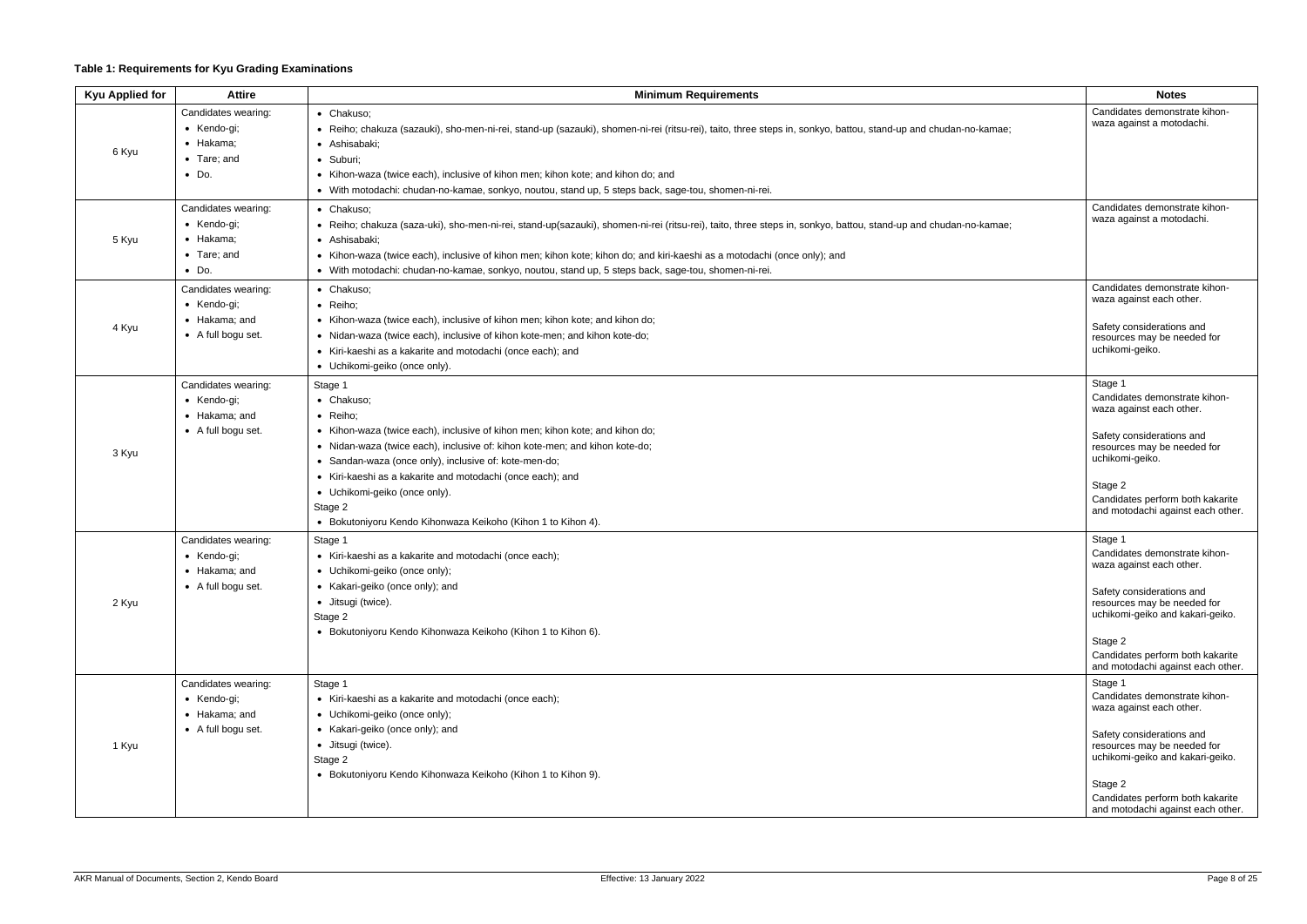# **Table 1: Requirements for Kyu Grading Examinations**

| <b>Kyu Applied for</b> | <b>Attire</b>                                                                           | <b>Minimum Requirements</b>                                                                                                                                                                                                                                                                                                                                                                                                         | <b>Notes</b>                                                                                                                                                                                                                                             |
|------------------------|-----------------------------------------------------------------------------------------|-------------------------------------------------------------------------------------------------------------------------------------------------------------------------------------------------------------------------------------------------------------------------------------------------------------------------------------------------------------------------------------------------------------------------------------|----------------------------------------------------------------------------------------------------------------------------------------------------------------------------------------------------------------------------------------------------------|
| 6 Kyu                  | Candidates wearing:<br>$\bullet$ Kendo-gi;<br>• Hakama;                                 | • Chakuso;<br>• Reiho; chakuza (sazauki), sho-men-ni-rei, stand-up (sazauki), shomen-ni-rei (ritsu-rei), taito, three steps in, sonkyo, battou, stand-up and chudan-no-kamae;<br>· Ashisabaki;                                                                                                                                                                                                                                      | Candidates demonstrate kihon-<br>waza against a motodachi.                                                                                                                                                                                               |
|                        | $\bullet$ Tare; and<br>$\bullet$ Do.                                                    | · Suburi;<br>• Kihon-waza (twice each), inclusive of kihon men; kihon kote; and kihon do; and<br>· With motodachi: chudan-no-kamae, sonkyo, noutou, stand up, 5 steps back, sage-tou, shomen-ni-rei.                                                                                                                                                                                                                                |                                                                                                                                                                                                                                                          |
| 5 Kyu                  | Candidates wearing:<br>$\bullet$ Kendo-gi;<br>• Hakama;<br>• Tare; and<br>$\bullet$ Do. | • Chakuso;<br>· Reiho; chakuza (saza-uki), sho-men-ni-rei, stand-up(sazauki), shomen-ni-rei (ritsu-rei), taito, three steps in, sonkyo, battou, stand-up and chudan-no-kamae;<br>• Ashisabaki:<br>• Kihon-waza (twice each), inclusive of kihon men; kihon kote; kihon do; and kiri-kaeshi as a motodachi (once only); and<br>· With motodachi: chudan-no-kamae, sonkyo, noutou, stand up, 5 steps back, sage-tou, shomen-ni-rei.   | Candidates demonstrate kihon-<br>waza against a motodachi.                                                                                                                                                                                               |
| 4 Kyu                  | Candidates wearing:<br>• Kendo-gi;<br>$\bullet$ Hakama: and<br>• A full bogu set.       | • Chakuso;<br>· Reiho;<br>• Kihon-waza (twice each), inclusive of kihon men; kihon kote; and kihon do;<br>• Nidan-waza (twice each), inclusive of kihon kote-men; and kihon kote-do;<br>• Kiri-kaeshi as a kakarite and motodachi (once each); and<br>• Uchikomi-geiko (once only).                                                                                                                                                 | Candidates demonstrate kihon-<br>waza against each other.<br>Safety considerations and<br>resources may be needed for<br>uchikomi-geiko.                                                                                                                 |
| 3 Kyu                  | Candidates wearing:<br>• Kendo-gi;<br>• Hakama; and<br>• A full bogu set.               | Stage 1<br>• Chakuso;<br>• Reiho;<br>• Kihon-waza (twice each), inclusive of kihon men; kihon kote; and kihon do;<br>• Nidan-waza (twice each), inclusive of: kihon kote-men; and kihon kote-do;<br>• Sandan-waza (once only), inclusive of: kote-men-do;<br>• Kiri-kaeshi as a kakarite and motodachi (once each); and<br>• Uchikomi-geiko (once only).<br>Stage 2<br>• Bokutoniyoru Kendo Kihonwaza Keikoho (Kihon 1 to Kihon 4). | Stage 1<br>Candidates demonstrate kihon-<br>waza against each other.<br>Safety considerations and<br>resources may be needed for<br>uchikomi-geiko.<br>Stage 2<br>Candidates perform both kakarite<br>and motodachi against each other.                  |
| 2 Kyu                  | Candidates wearing:<br>• Kendo-gi;<br>• Hakama; and<br>• A full bogu set.               | Stage 1<br>• Kiri-kaeshi as a kakarite and motodachi (once each);<br>• Uchikomi-geiko (once only);<br>• Kakari-geiko (once only); and<br>· Jitsugi (twice).<br>Stage 2<br>• Bokutoniyoru Kendo Kihonwaza Keikoho (Kihon 1 to Kihon 6).                                                                                                                                                                                              | Stage 1<br>Candidates demonstrate kihon-<br>waza against each other.<br>Safety considerations and<br>resources may be needed for<br>uchikomi-geiko and kakari-geiko.<br>Stage 2<br>Candidates perform both kakarite<br>and motodachi against each other. |
| 1 Kyu                  | Candidates wearing:<br>• Kendo-gi;<br>$\bullet$ Hakama; and<br>• A full bogu set.       | Stage 1<br>• Kiri-kaeshi as a kakarite and motodachi (once each);<br>• Uchikomi-geiko (once only);<br>• Kakari-geiko (once only); and<br>· Jitsugi (twice).<br>Stage 2<br>• Bokutoniyoru Kendo Kihonwaza Keikoho (Kihon 1 to Kihon 9).                                                                                                                                                                                              | Stage 1<br>Candidates demonstrate kihon-<br>waza against each other.<br>Safety considerations and<br>resources may be needed for<br>uchikomi-geiko and kakari-geiko.<br>Stage 2<br>Candidates perform both kakarite<br>and motodachi against each other. |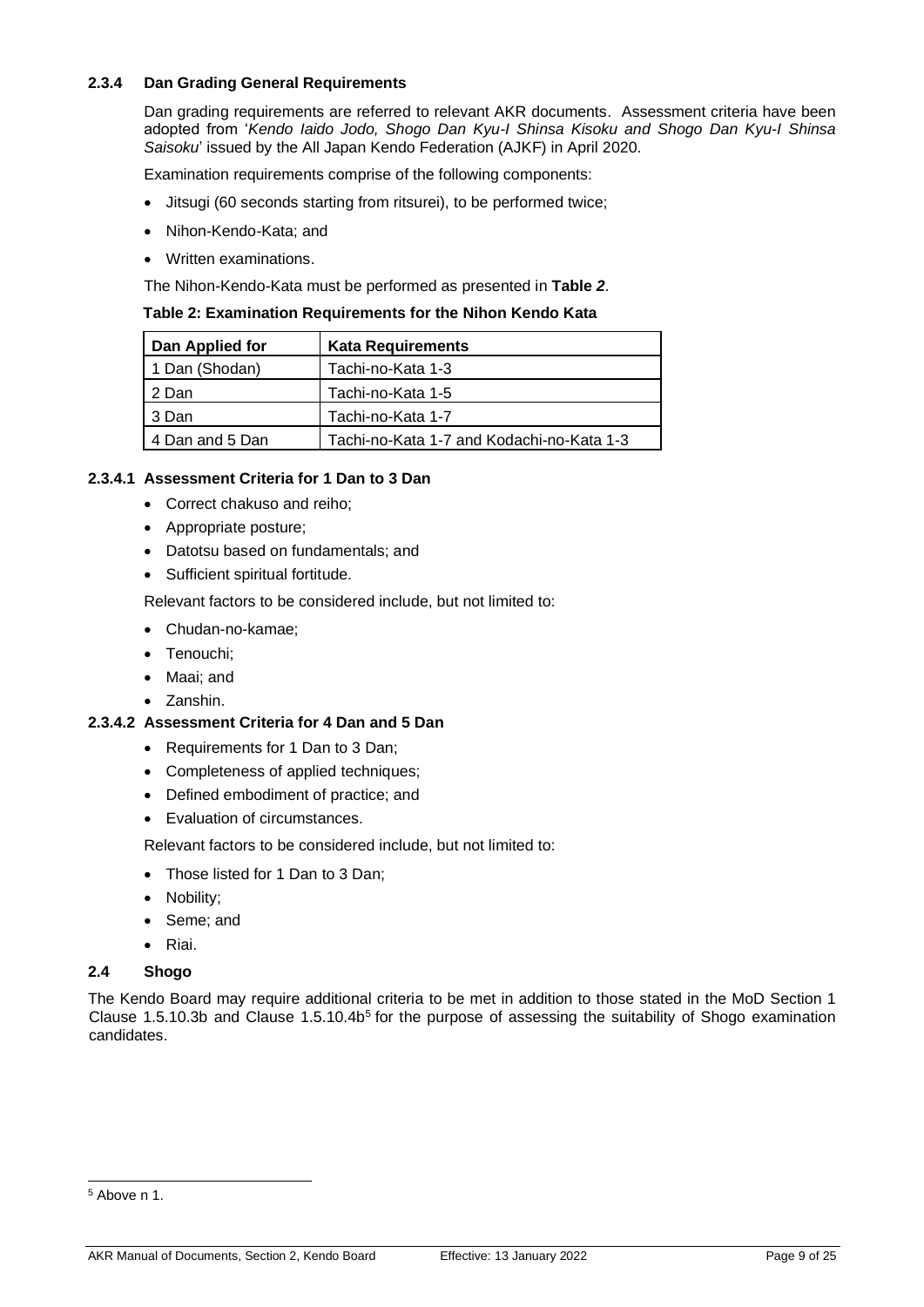#### <span id="page-8-0"></span>**2.3.4 Dan Grading General Requirements**

Dan grading requirements are referred to relevant AKR documents. Assessment criteria have been adopted from '*Kendo Iaido Jodo, Shogo Dan Kyu-I Shinsa Kisoku and Shogo Dan Kyu-I Shinsa Saisoku*' issued by the All Japan Kendo Federation (AJKF) in April 2020.

Examination requirements comprise of the following components:

- Jitsugi (60 seconds starting from ritsurei), to be performed twice;
- Nihon-Kendo-Kata; and
- Written examinations.

The Nihon-Kendo-Kata must be performed as presented in **[Table](#page-8-4)** *2*.

<span id="page-8-4"></span>

|  | Table 2: Examination Requirements for the Nihon Kendo Kata |
|--|------------------------------------------------------------|
|--|------------------------------------------------------------|

| Dan Applied for | <b>Kata Requirements</b>                  |
|-----------------|-------------------------------------------|
| 1 Dan (Shodan)  | Tachi-no-Kata 1-3                         |
| 2 Dan           | Tachi-no-Kata 1-5                         |
| 3 Dan           | Tachi-no-Kata 1-7                         |
| 4 Dan and 5 Dan | Tachi-no-Kata 1-7 and Kodachi-no-Kata 1-3 |

#### <span id="page-8-1"></span>**2.3.4.1 Assessment Criteria for 1 Dan to 3 Dan**

- Correct chakuso and reiho;
- Appropriate posture;
- Datotsu based on fundamentals; and
- Sufficient spiritual fortitude.

Relevant factors to be considered include, but not limited to:

- Chudan-no-kamae;
- Tenouchi;
- Maai; and
- Zanshin.

#### <span id="page-8-2"></span>**2.3.4.2 Assessment Criteria for 4 Dan and 5 Dan**

- Requirements for 1 Dan to 3 Dan;
- Completeness of applied techniques;
- Defined embodiment of practice; and
- Evaluation of circumstances.

Relevant factors to be considered include, but not limited to:

- Those listed for 1 Dan to 3 Dan;
- Nobility;
- Seme; and
- Riai.

#### <span id="page-8-3"></span>**2.4 Shogo**

The Kendo Board may require additional criteria to be met in addition to those stated in the MoD Section 1 Clause 1.5.10.3b and Clause 1.5.10.4b<sup>5</sup> for the purpose of assessing the suitability of Shogo examination candidates.

<sup>5</sup> Above n 1.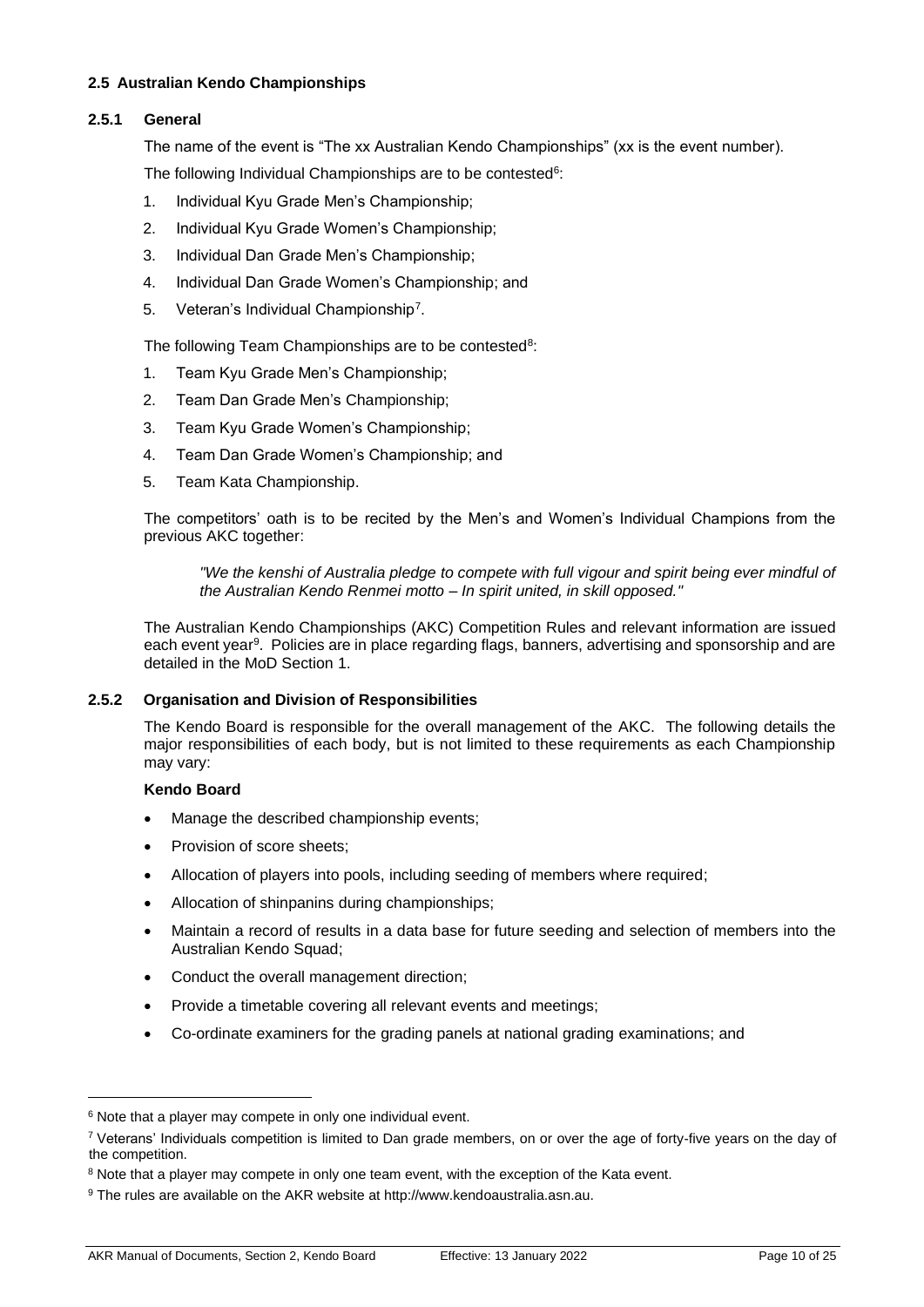#### <span id="page-9-0"></span>**2.5 Australian Kendo Championships**

#### <span id="page-9-1"></span>**2.5.1 General**

The name of the event is "The xx Australian Kendo Championships" (xx is the event number). The following Individual Championships are to be contested<sup>6</sup>:

- 1. Individual Kyu Grade Men's Championship;
- 2. Individual Kyu Grade Women's Championship;
- 3. Individual Dan Grade Men's Championship;
- 4. Individual Dan Grade Women's Championship; and
- 5. Veteran's Individual Championship<sup>7</sup>.

The following Team Championships are to be contested<sup>8</sup>:

- 1. Team Kyu Grade Men's Championship;
- 2. Team Dan Grade Men's Championship;
- 3. Team Kyu Grade Women's Championship;
- 4. Team Dan Grade Women's Championship; and
- 5. Team Kata Championship.

The competitors' oath is to be recited by the Men's and Women's Individual Champions from the previous AKC together:

*"We the kenshi of Australia pledge to compete with full vigour and spirit being ever mindful of the Australian Kendo Renmei motto* – *In spirit united, in skill opposed."* 

The Australian Kendo Championships (AKC) Competition Rules and relevant information are issued each event year<sup>9</sup>. Policies are in place regarding flags, banners, advertising and sponsorship and are detailed in the MoD Section 1.

#### <span id="page-9-2"></span>**2.5.2 Organisation and Division of Responsibilities**

The Kendo Board is responsible for the overall management of the AKC. The following details the major responsibilities of each body, but is not limited to these requirements as each Championship may vary:

#### **Kendo Board**

- Manage the described championship events;
- Provision of score sheets:
- Allocation of players into pools, including seeding of members where required;
- Allocation of shinpanins during championships;
- Maintain a record of results in a data base for future seeding and selection of members into the Australian Kendo Squad;
- Conduct the overall management direction;
- Provide a timetable covering all relevant events and meetings;
- Co-ordinate examiners for the grading panels at national grading examinations; and

<sup>&</sup>lt;sup>6</sup> Note that a player may compete in only one individual event.

 $\frac{7}{1}$  Veterans' Individuals competition is limited to Dan grade members, on or over the age of forty-five years on the day of the competition.

<sup>&</sup>lt;sup>8</sup> Note that a player may compete in only one team event, with the exception of the Kata event.

<sup>&</sup>lt;sup>9</sup> The rules are available on the AKR website at http://www.kendoaustralia.asn.au.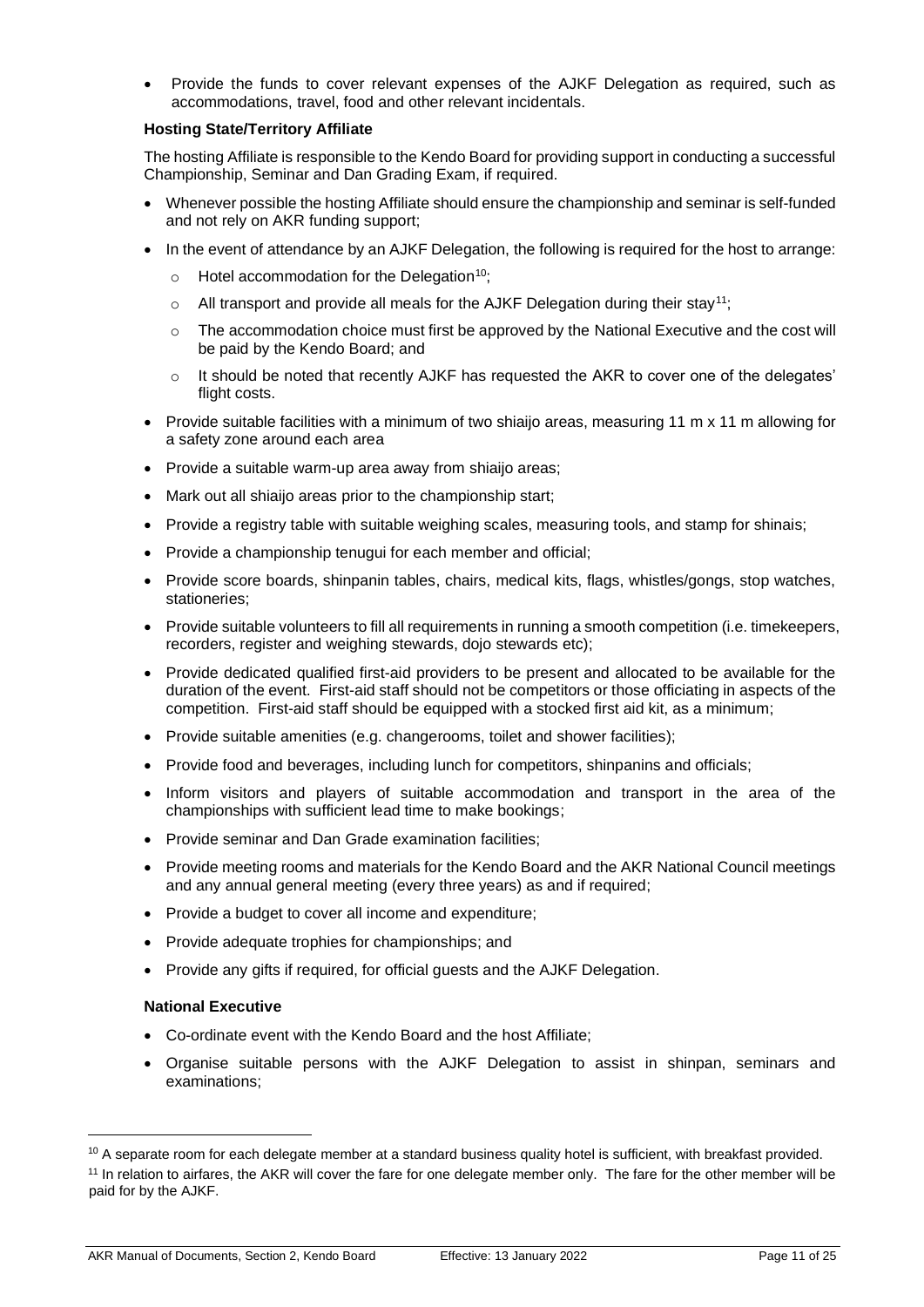• Provide the funds to cover relevant expenses of the AJKF Delegation as required, such as accommodations, travel, food and other relevant incidentals.

#### **Hosting State/Territory Affiliate**

The hosting Affiliate is responsible to the Kendo Board for providing support in conducting a successful Championship, Seminar and Dan Grading Exam, if required.

- Whenever possible the hosting Affiliate should ensure the championship and seminar is self-funded and not rely on AKR funding support;
- In the event of attendance by an AJKF Delegation, the following is required for the host to arrange:
	- $\circ$  Hotel accommodation for the Delegation<sup>10</sup>;
	- $\circ$  All transport and provide all meals for the AJKF Delegation during their stay<sup>11</sup>;
	- $\circ$  The accommodation choice must first be approved by the National Executive and the cost will be paid by the Kendo Board; and
	- o It should be noted that recently AJKF has requested the AKR to cover one of the delegates' flight costs.
- Provide suitable facilities with a minimum of two shiaijo areas, measuring 11 m x 11 m allowing for a safety zone around each area
- Provide a suitable warm-up area away from shiaijo areas;
- Mark out all shiaijo areas prior to the championship start;
- Provide a registry table with suitable weighing scales, measuring tools, and stamp for shinais;
- Provide a championship tenugui for each member and official;
- Provide score boards, shinpanin tables, chairs, medical kits, flags, whistles/gongs, stop watches, stationeries;
- Provide suitable volunteers to fill all requirements in running a smooth competition (i.e. timekeepers, recorders, register and weighing stewards, doio stewards etc);
- Provide dedicated qualified first-aid providers to be present and allocated to be available for the duration of the event. First-aid staff should not be competitors or those officiating in aspects of the competition. First-aid staff should be equipped with a stocked first aid kit, as a minimum;
- Provide suitable amenities (e.g. changerooms, toilet and shower facilities);
- Provide food and beverages, including lunch for competitors, shinpanins and officials;
- Inform visitors and players of suitable accommodation and transport in the area of the championships with sufficient lead time to make bookings;
- Provide seminar and Dan Grade examination facilities;
- Provide meeting rooms and materials for the Kendo Board and the AKR National Council meetings and any annual general meeting (every three years) as and if required;
- Provide a budget to cover all income and expenditure;
- Provide adequate trophies for championships; and
- Provide any gifts if required, for official guests and the AJKF Delegation.

#### **National Executive**

- Co-ordinate event with the Kendo Board and the host Affiliate;
- Organise suitable persons with the AJKF Delegation to assist in shinpan, seminars and examinations;

<sup>&</sup>lt;sup>10</sup> A separate room for each delegate member at a standard business quality hotel is sufficient, with breakfast provided.

<sup>&</sup>lt;sup>11</sup> In relation to airfares, the AKR will cover the fare for one delegate member only. The fare for the other member will be paid for by the AJKF.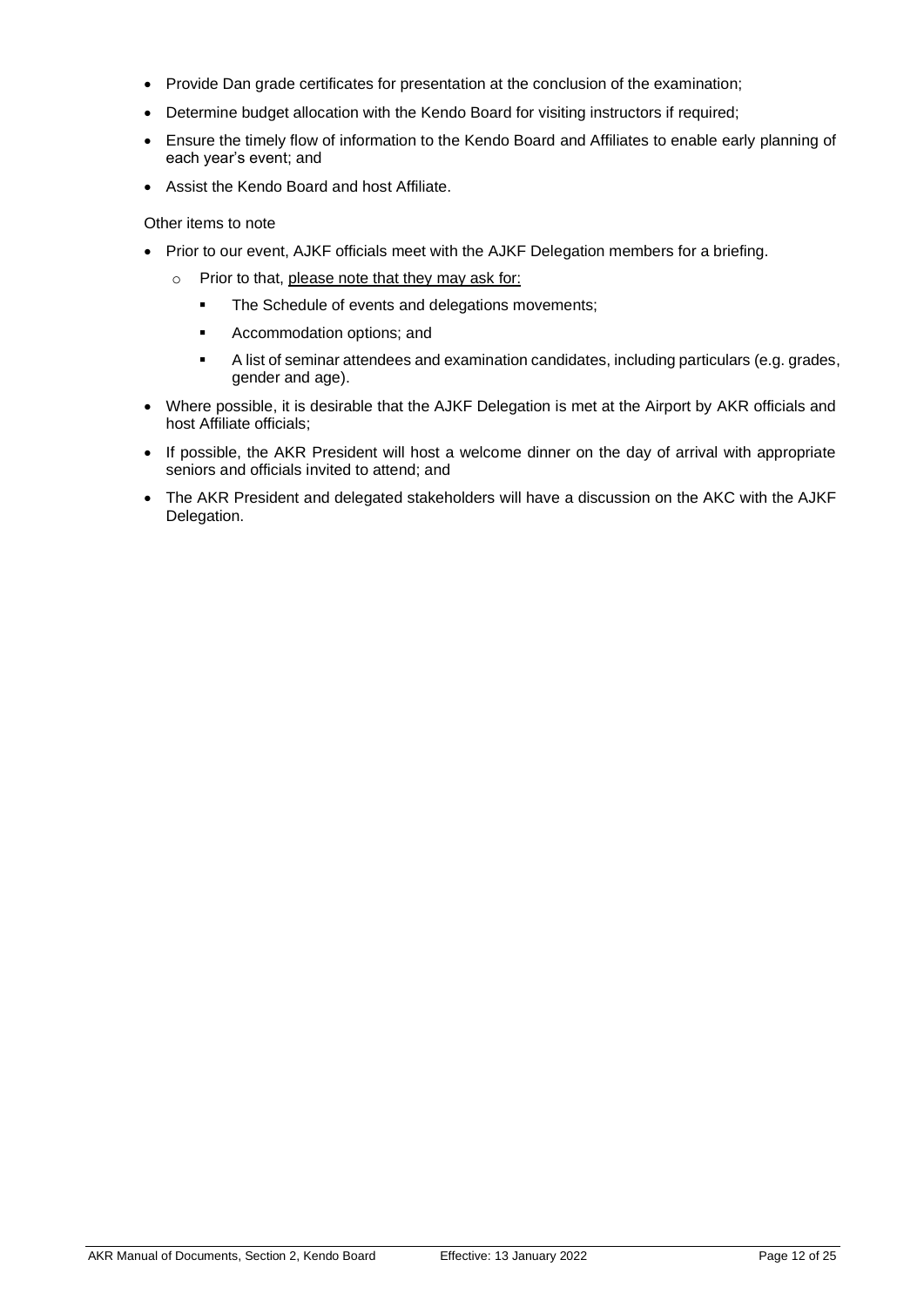- Provide Dan grade certificates for presentation at the conclusion of the examination;
- Determine budget allocation with the Kendo Board for visiting instructors if required;
- Ensure the timely flow of information to the Kendo Board and Affiliates to enable early planning of each year's event; and
- Assist the Kendo Board and host Affiliate.

#### Other items to note

- Prior to our event, AJKF officials meet with the AJKF Delegation members for a briefing.
	- o Prior to that, please note that they may ask for:
		- **The Schedule of events and delegations movements;**
		- Accommodation options; and
		- A list of seminar attendees and examination candidates, including particulars (e.g. grades, gender and age).
- Where possible, it is desirable that the AJKF Delegation is met at the Airport by AKR officials and host Affiliate officials;
- If possible, the AKR President will host a welcome dinner on the day of arrival with appropriate seniors and officials invited to attend; and
- The AKR President and delegated stakeholders will have a discussion on the AKC with the AJKF Delegation.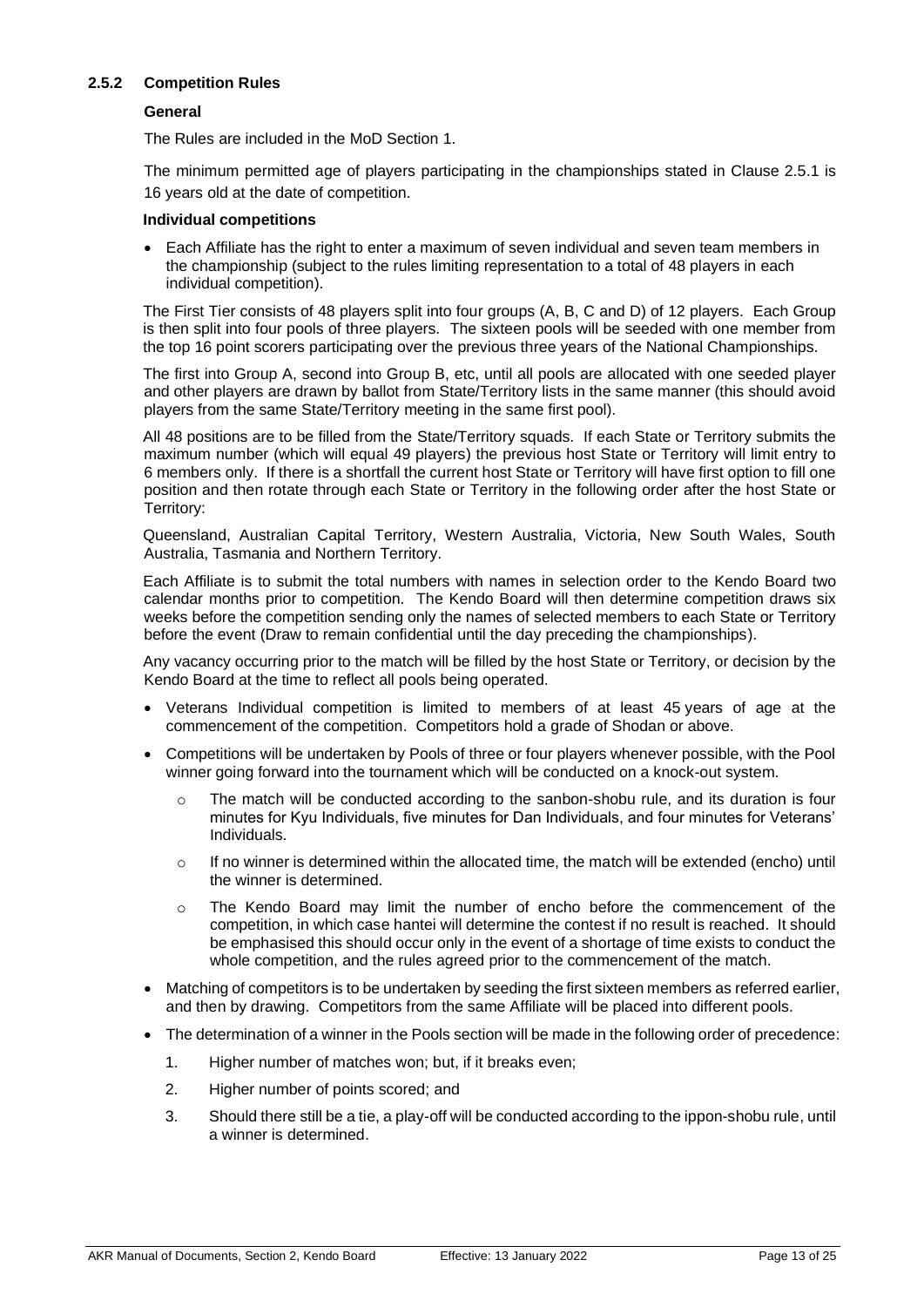#### <span id="page-12-0"></span>**2.5.2 Competition Rules**

#### **General**

The Rules are included in the MoD Section 1.

The minimum permitted age of players participating in the championships stated in Clause 2.5.1 is 16 years old at the date of competition.

#### **Individual competitions**

• Each Affiliate has the right to enter a maximum of seven individual and seven team members in the championship (subject to the rules limiting representation to a total of 48 players in each individual competition).

The First Tier consists of 48 players split into four groups (A, B, C and D) of 12 players. Each Group is then split into four pools of three players. The sixteen pools will be seeded with one member from the top 16 point scorers participating over the previous three years of the National Championships.

The first into Group A, second into Group B, etc, until all pools are allocated with one seeded player and other players are drawn by ballot from State/Territory lists in the same manner (this should avoid players from the same State/Territory meeting in the same first pool).

All 48 positions are to be filled from the State/Territory squads. If each State or Territory submits the maximum number (which will equal 49 players) the previous host State or Territory will limit entry to 6 members only. If there is a shortfall the current host State or Territory will have first option to fill one position and then rotate through each State or Territory in the following order after the host State or Territory:

Queensland, Australian Capital Territory, Western Australia, Victoria, New South Wales, South Australia, Tasmania and Northern Territory.

Each Affiliate is to submit the total numbers with names in selection order to the Kendo Board two calendar months prior to competition. The Kendo Board will then determine competition draws six weeks before the competition sending only the names of selected members to each State or Territory before the event (Draw to remain confidential until the day preceding the championships).

Any vacancy occurring prior to the match will be filled by the host State or Territory, or decision by the Kendo Board at the time to reflect all pools being operated.

- Veterans Individual competition is limited to members of at least 45 years of age at the commencement of the competition. Competitors hold a grade of Shodan or above.
- Competitions will be undertaken by Pools of three or four players whenever possible, with the Pool winner going forward into the tournament which will be conducted on a knock-out system.
	- $\circ$  The match will be conducted according to the sanbon-shobu rule, and its duration is four minutes for Kyu Individuals, five minutes for Dan Individuals, and four minutes for Veterans' Individuals.
	- $\circ$  If no winner is determined within the allocated time, the match will be extended (encho) until the winner is determined.
	- o The Kendo Board may limit the number of encho before the commencement of the competition, in which case hantei will determine the contest if no result is reached. It should be emphasised this should occur only in the event of a shortage of time exists to conduct the whole competition, and the rules agreed prior to the commencement of the match.
- Matching of competitors is to be undertaken by seeding the first sixteen members as referred earlier, and then by drawing. Competitors from the same Affiliate will be placed into different pools.
- The determination of a winner in the Pools section will be made in the following order of precedence:
	- 1. Higher number of matches won; but, if it breaks even;
	- 2. Higher number of points scored; and
	- 3. Should there still be a tie, a play-off will be conducted according to the ippon-shobu rule, until a winner is determined.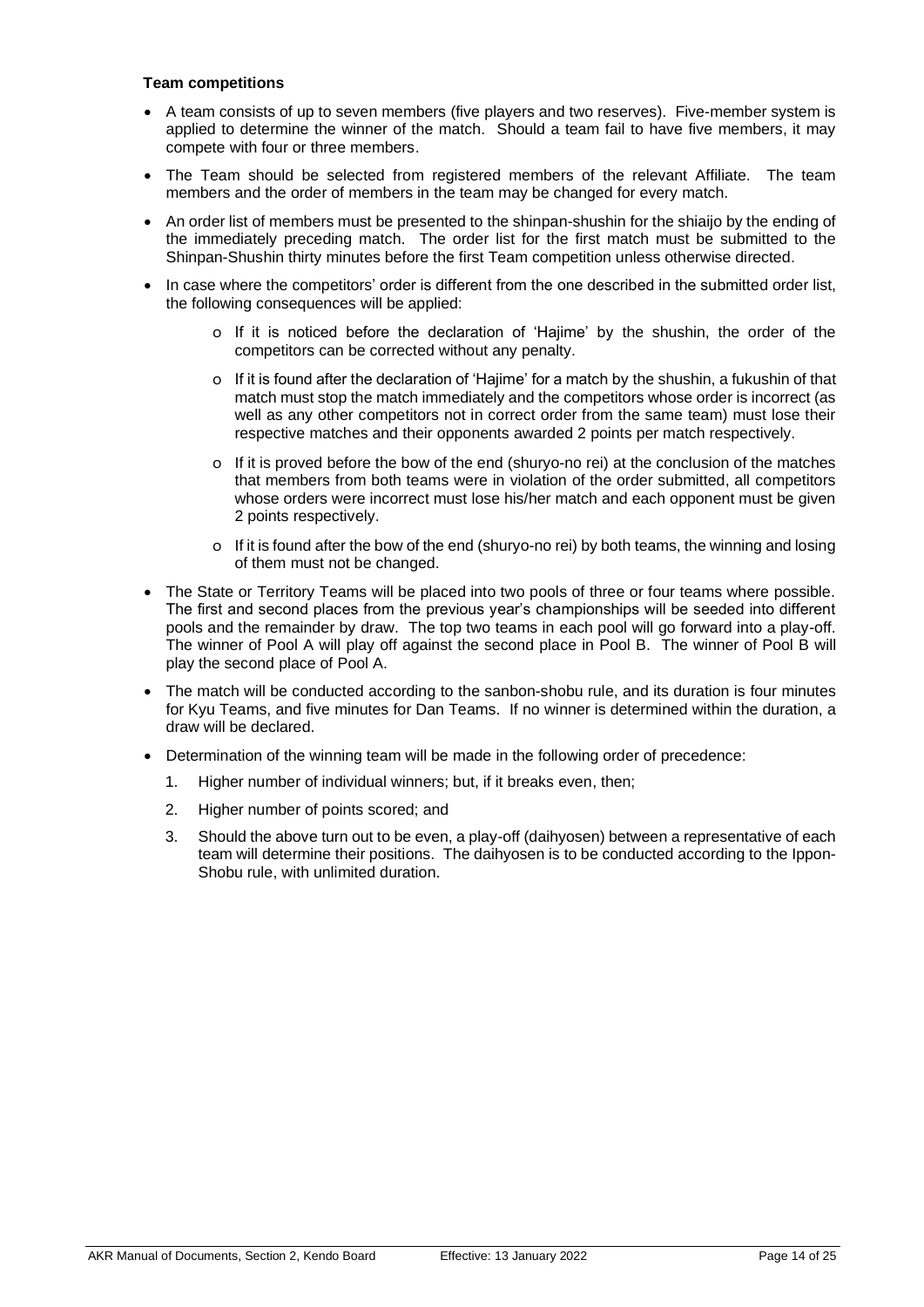#### **Team competitions**

- A team consists of up to seven members (five players and two reserves). Five-member system is applied to determine the winner of the match. Should a team fail to have five members, it may compete with four or three members.
- The Team should be selected from registered members of the relevant Affiliate. The team members and the order of members in the team may be changed for every match.
- An order list of members must be presented to the shinpan-shushin for the shiaijo by the ending of the immediately preceding match. The order list for the first match must be submitted to the Shinpan-Shushin thirty minutes before the first Team competition unless otherwise directed.
- In case where the competitors' order is different from the one described in the submitted order list, the following consequences will be applied:
	- o If it is noticed before the declaration of 'Hajime' by the shushin, the order of the competitors can be corrected without any penalty.
	- o If it is found after the declaration of 'Hajime' for a match by the shushin, a fukushin of that match must stop the match immediately and the competitors whose order is incorrect (as well as any other competitors not in correct order from the same team) must lose their respective matches and their opponents awarded 2 points per match respectively.
	- o If it is proved before the bow of the end (shuryo-no rei) at the conclusion of the matches that members from both teams were in violation of the order submitted, all competitors whose orders were incorrect must lose his/her match and each opponent must be given 2 points respectively.
	- o If it is found after the bow of the end (shuryo-no rei) by both teams, the winning and losing of them must not be changed.
- The State or Territory Teams will be placed into two pools of three or four teams where possible. The first and second places from the previous year's championships will be seeded into different pools and the remainder by draw. The top two teams in each pool will go forward into a play-off. The winner of Pool A will play off against the second place in Pool B. The winner of Pool B will play the second place of Pool A.
- The match will be conducted according to the sanbon-shobu rule, and its duration is four minutes for Kyu Teams, and five minutes for Dan Teams. If no winner is determined within the duration, a draw will be declared.
- Determination of the winning team will be made in the following order of precedence:
	- 1. Higher number of individual winners; but, if it breaks even, then;
	- 2. Higher number of points scored; and
	- 3. Should the above turn out to be even, a play-off (daihyosen) between a representative of each team will determine their positions. The daihyosen is to be conducted according to the Ippon-Shobu rule, with unlimited duration.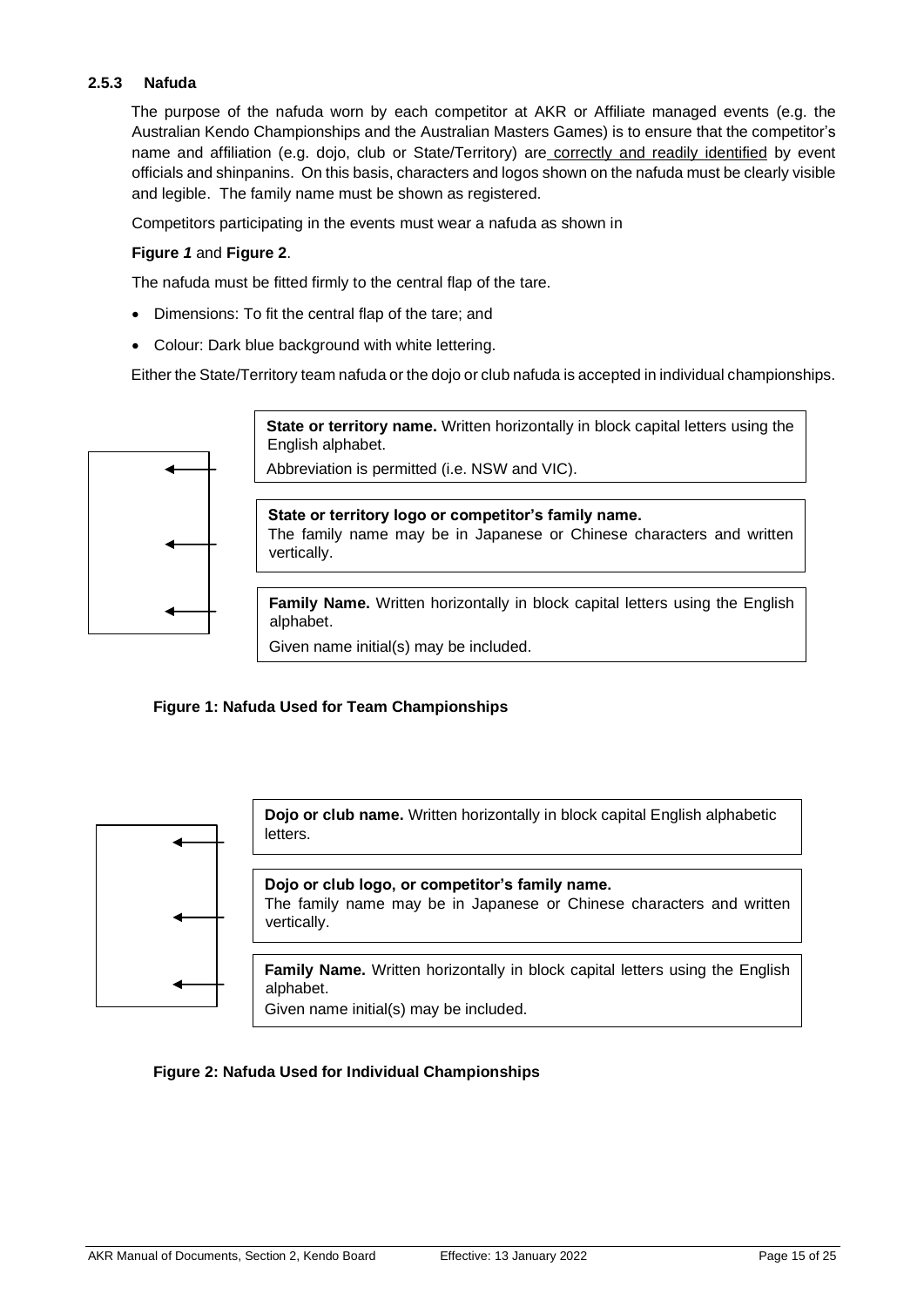## <span id="page-14-0"></span>**2.5.3 Nafuda**

The purpose of the nafuda worn by each competitor at AKR or Affiliate managed events (e.g. the Australian Kendo Championships and the Australian Masters Games) is to ensure that the competitor's name and affiliation (e.g. dojo, club or State/Territory) are correctly and readily identified by event officials and shinpanins. On this basis, characters and logos shown on the nafuda must be clearly visible and legible. The family name must be shown as registered.

Competitors participating in the events must wear a nafuda as shown in

#### **[Figure](#page-14-1)** *1* and **Figure 2**.

The nafuda must be fitted firmly to the central flap of the tare.

- Dimensions: To fit the central flap of the tare; and
- Colour: Dark blue background with white lettering.

Either the State/Territory team nafuda or the dojo or club nafuda is accepted in individual championships.



## <span id="page-14-1"></span>**Figure 1: Nafuda Used for Team Championships**



#### **Figure 2: Nafuda Used for Individual Championships**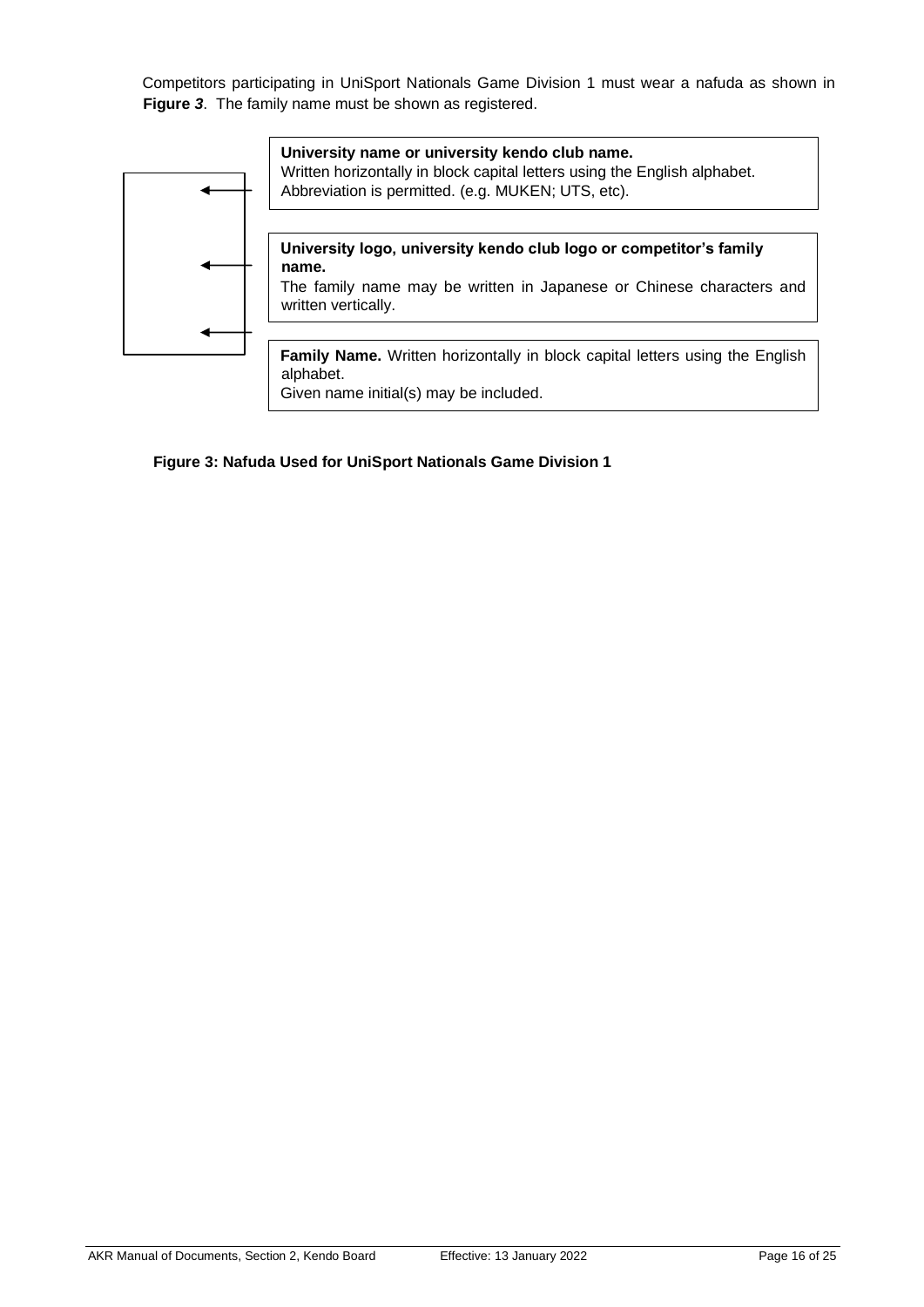Competitors participating in UniSport Nationals Game Division 1 must wear a nafuda as shown in **[Figure](#page-15-0)** *3*. The family name must be shown as registered.



#### <span id="page-15-0"></span>**Figure 3: Nafuda Used for UniSport Nationals Game Division 1**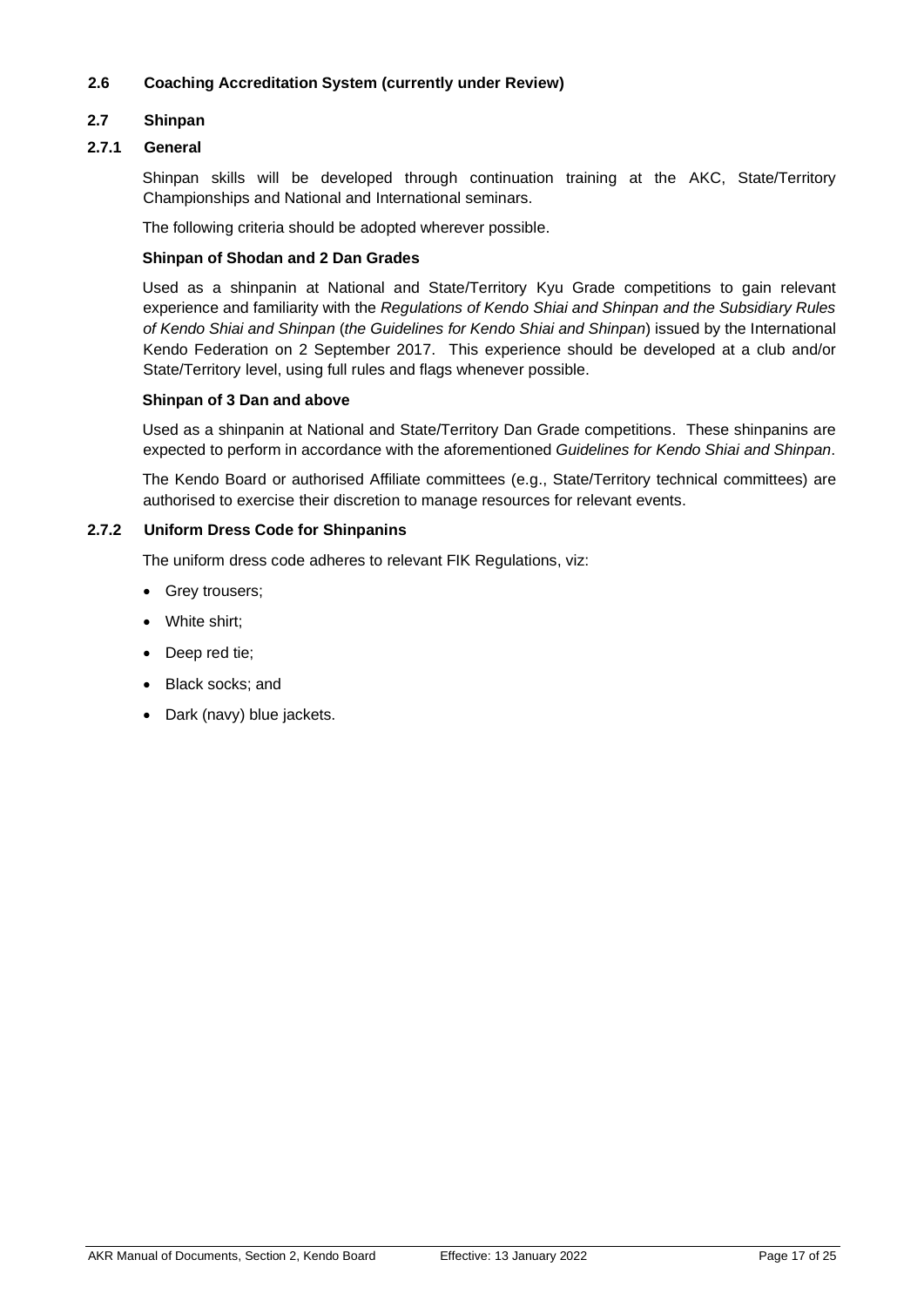#### <span id="page-16-0"></span>**2.6 Coaching Accreditation System (currently under Review)**

#### <span id="page-16-1"></span>**2.7 Shinpan**

#### <span id="page-16-2"></span>**2.7.1 General**

Shinpan skills will be developed through continuation training at the AKC, State/Territory Championships and National and International seminars.

The following criteria should be adopted wherever possible.

#### **Shinpan of Shodan and 2 Dan Grades**

Used as a shinpanin at National and State/Territory Kyu Grade competitions to gain relevant experience and familiarity with the *Regulations of Kendo Shiai and Shinpan and the Subsidiary Rules of Kendo Shiai and Shinpan* (*the Guidelines for Kendo Shiai and Shinpan*) issued by the International Kendo Federation on 2 September 2017. This experience should be developed at a club and/or State/Territory level, using full rules and flags whenever possible.

#### **Shinpan of 3 Dan and above**

Used as a shinpanin at National and State/Territory Dan Grade competitions. These shinpanins are expected to perform in accordance with the aforementioned *Guidelines for Kendo Shiai and Shinpan*.

The Kendo Board or authorised Affiliate committees (e.g., State/Territory technical committees) are authorised to exercise their discretion to manage resources for relevant events.

#### <span id="page-16-3"></span>**2.7.2 Uniform Dress Code for Shinpanins**

The uniform dress code adheres to relevant FIK Regulations, viz:

- Grey trousers;
- White shirt;
- Deep red tie;
- Black socks; and
- Dark (navy) blue jackets.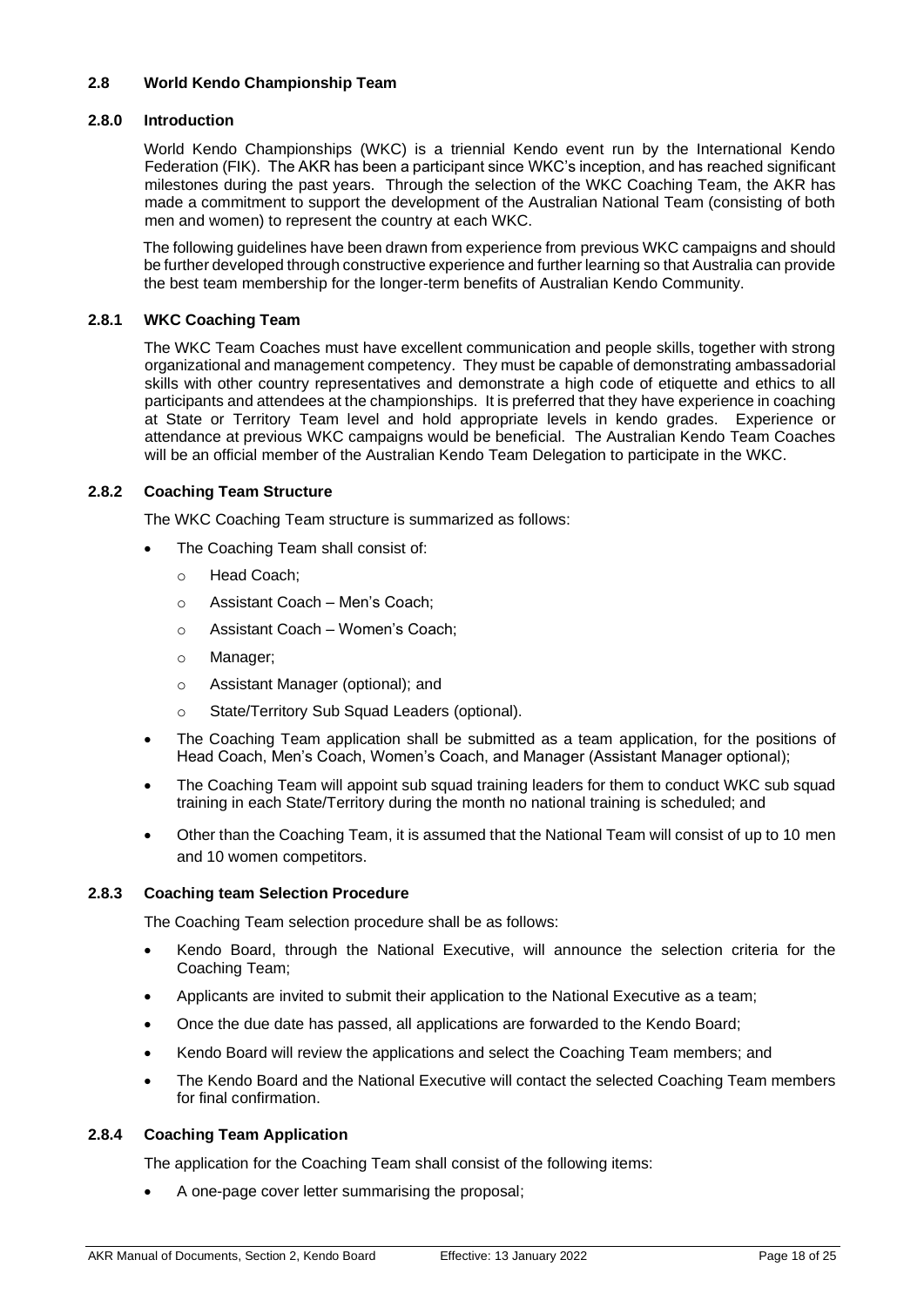#### <span id="page-17-0"></span>**2.8 World Kendo Championship Team**

#### <span id="page-17-1"></span>**2.8.0 Introduction**

World Kendo Championships (WKC) is a triennial Kendo event run by the International Kendo Federation (FIK). The AKR has been a participant since WKC's inception, and has reached significant milestones during the past years. Through the selection of the WKC Coaching Team, the AKR has made a commitment to support the development of the Australian National Team (consisting of both men and women) to represent the country at each WKC.

The following guidelines have been drawn from experience from previous WKC campaigns and should be further developed through constructive experience and further learning so that Australia can provide the best team membership for the longer-term benefits of Australian Kendo Community.

#### <span id="page-17-2"></span>**2.8.1 WKC Coaching Team**

The WKC Team Coaches must have excellent communication and people skills, together with strong organizational and management competency. They must be capable of demonstrating ambassadorial skills with other country representatives and demonstrate a high code of etiquette and ethics to all participants and attendees at the championships. It is preferred that they have experience in coaching at State or Territory Team level and hold appropriate levels in kendo grades. Experience or attendance at previous WKC campaigns would be beneficial. The Australian Kendo Team Coaches will be an official member of the Australian Kendo Team Delegation to participate in the WKC.

#### <span id="page-17-3"></span>**2.8.2 Coaching Team Structure**

The WKC Coaching Team structure is summarized as follows:

- The Coaching Team shall consist of:
	- o Head Coach;
	- o Assistant Coach Men's Coach;
	- o Assistant Coach Women's Coach;
	- o Manager;
	- o Assistant Manager (optional); and
	- o State/Territory Sub Squad Leaders (optional).
- The Coaching Team application shall be submitted as a team application, for the positions of Head Coach, Men's Coach, Women's Coach, and Manager (Assistant Manager optional);
- The Coaching Team will appoint sub squad training leaders for them to conduct WKC sub squad training in each State/Territory during the month no national training is scheduled; and
- Other than the Coaching Team, it is assumed that the National Team will consist of up to 10 men and 10 women competitors.

#### <span id="page-17-4"></span>**2.8.3 Coaching team Selection Procedure**

The Coaching Team selection procedure shall be as follows:

- Kendo Board, through the National Executive, will announce the selection criteria for the Coaching Team;
- Applicants are invited to submit their application to the National Executive as a team;
- Once the due date has passed, all applications are forwarded to the Kendo Board;
- Kendo Board will review the applications and select the Coaching Team members; and
- The Kendo Board and the National Executive will contact the selected Coaching Team members for final confirmation.

#### <span id="page-17-5"></span>**2.8.4 Coaching Team Application**

The application for the Coaching Team shall consist of the following items:

• A one-page cover letter summarising the proposal;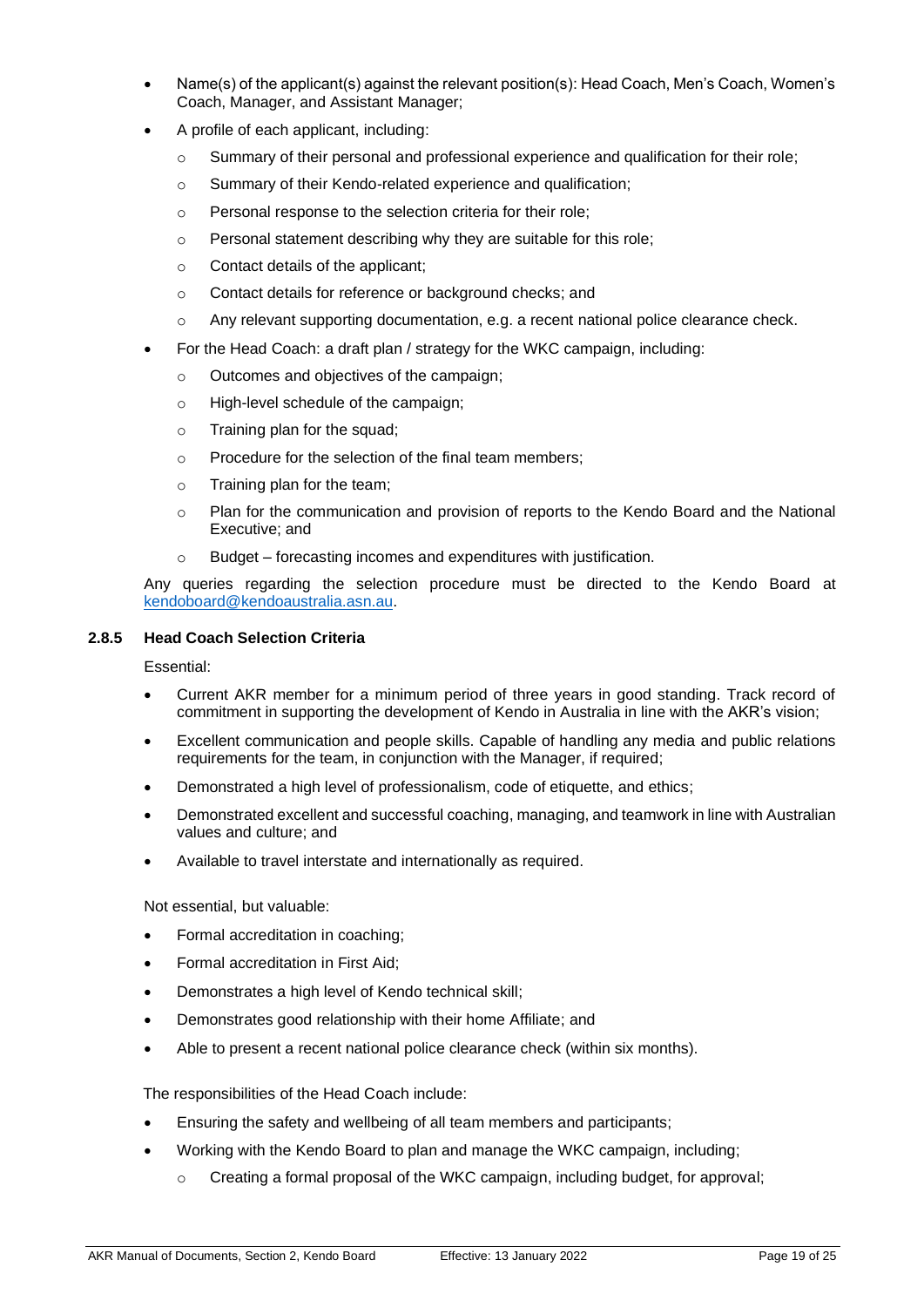- Name(s) of the applicant(s) against the relevant position(s): Head Coach, Men's Coach, Women's Coach, Manager, and Assistant Manager;
- A profile of each applicant, including:
	- $\circ$  Summary of their personal and professional experience and qualification for their role;
	- o Summary of their Kendo-related experience and qualification;
	- o Personal response to the selection criteria for their role;
	- o Personal statement describing why they are suitable for this role;
	- o Contact details of the applicant;
	- o Contact details for reference or background checks; and
	- $\circ$  Any relevant supporting documentation, e.g. a recent national police clearance check.
- For the Head Coach: a draft plan / strategy for the WKC campaign, including:
	- o Outcomes and objectives of the campaign;
	- o High-level schedule of the campaign;
	- o Training plan for the squad;
	- o Procedure for the selection of the final team members;
	- o Training plan for the team;
	- o Plan for the communication and provision of reports to the Kendo Board and the National Executive; and
	- Budget forecasting incomes and expenditures with justification.

Any queries regarding the selection procedure must be directed to the Kendo Board at [kendoboard@kendoaustralia.asn.au.](mailto:kendoboard@kendoaustralia.asn.au)

#### <span id="page-18-0"></span>**2.8.5 Head Coach Selection Criteria**

Essential:

- Current AKR member for a minimum period of three years in good standing. Track record of commitment in supporting the development of Kendo in Australia in line with the AKR's vision;
- Excellent communication and people skills. Capable of handling any media and public relations requirements for the team, in conjunction with the Manager, if required;
- Demonstrated a high level of professionalism, code of etiquette, and ethics;
- Demonstrated excellent and successful coaching, managing, and teamwork in line with Australian values and culture; and
- Available to travel interstate and internationally as required.

Not essential, but valuable:

- Formal accreditation in coaching;
- Formal accreditation in First Aid;
- Demonstrates a high level of Kendo technical skill;
- Demonstrates good relationship with their home Affiliate; and
- Able to present a recent national police clearance check (within six months).

The responsibilities of the Head Coach include:

- Ensuring the safety and wellbeing of all team members and participants;
- Working with the Kendo Board to plan and manage the WKC campaign, including;
	- $\circ$  Creating a formal proposal of the WKC campaign, including budget, for approval;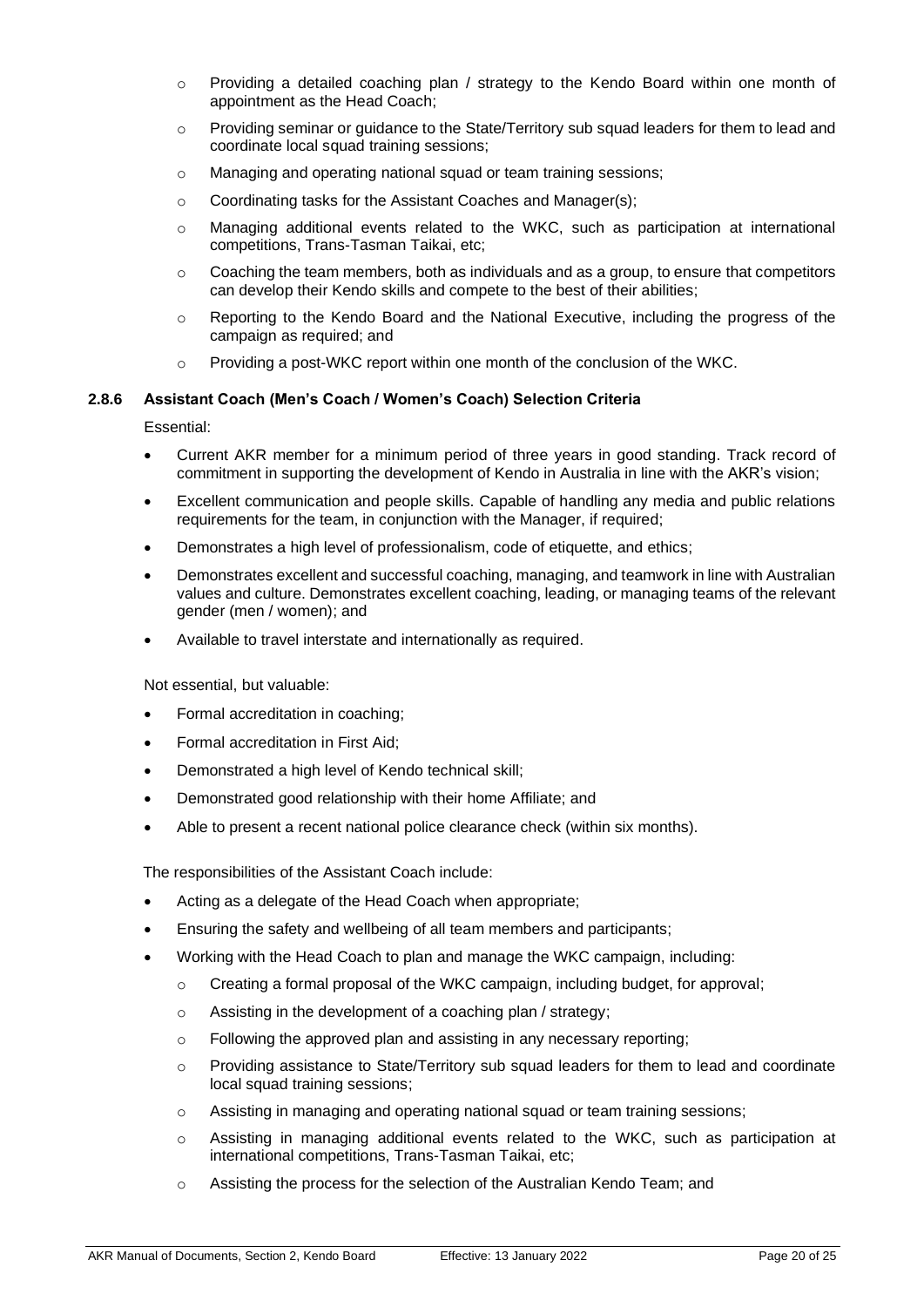- $\circ$  Providing a detailed coaching plan / strategy to the Kendo Board within one month of appointment as the Head Coach;
- $\circ$  Providing seminar or guidance to the State/Territory sub squad leaders for them to lead and coordinate local squad training sessions;
- o Managing and operating national squad or team training sessions;
- o Coordinating tasks for the Assistant Coaches and Manager(s);
- o Managing additional events related to the WKC, such as participation at international competitions, Trans-Tasman Taikai, etc;
- $\circ$  Coaching the team members, both as individuals and as a group, to ensure that competitors can develop their Kendo skills and compete to the best of their abilities;
- o Reporting to the Kendo Board and the National Executive, including the progress of the campaign as required; and
- $\circ$  Providing a post-WKC report within one month of the conclusion of the WKC.

#### <span id="page-19-0"></span>**2.8.6 Assistant Coach (Men's Coach / Women's Coach) Selection Criteria**

Essential:

- Current AKR member for a minimum period of three years in good standing. Track record of commitment in supporting the development of Kendo in Australia in line with the AKR's vision;
- Excellent communication and people skills. Capable of handling any media and public relations requirements for the team, in conjunction with the Manager, if required;
- Demonstrates a high level of professionalism, code of etiquette, and ethics;
- Demonstrates excellent and successful coaching, managing, and teamwork in line with Australian values and culture. Demonstrates excellent coaching, leading, or managing teams of the relevant gender (men / women); and
- Available to travel interstate and internationally as required.

Not essential, but valuable:

- Formal accreditation in coaching;
- Formal accreditation in First Aid;
- Demonstrated a high level of Kendo technical skill;
- Demonstrated good relationship with their home Affiliate; and
- Able to present a recent national police clearance check (within six months).

The responsibilities of the Assistant Coach include:

- Acting as a delegate of the Head Coach when appropriate;
- Ensuring the safety and wellbeing of all team members and participants;
- Working with the Head Coach to plan and manage the WKC campaign, including:
	- $\circ$  Creating a formal proposal of the WKC campaign, including budget, for approval;
	- o Assisting in the development of a coaching plan / strategy;
	- o Following the approved plan and assisting in any necessary reporting;
	- o Providing assistance to State/Territory sub squad leaders for them to lead and coordinate local squad training sessions;
	- o Assisting in managing and operating national squad or team training sessions;
	- o Assisting in managing additional events related to the WKC, such as participation at international competitions, Trans-Tasman Taikai, etc;
	- o Assisting the process for the selection of the Australian Kendo Team; and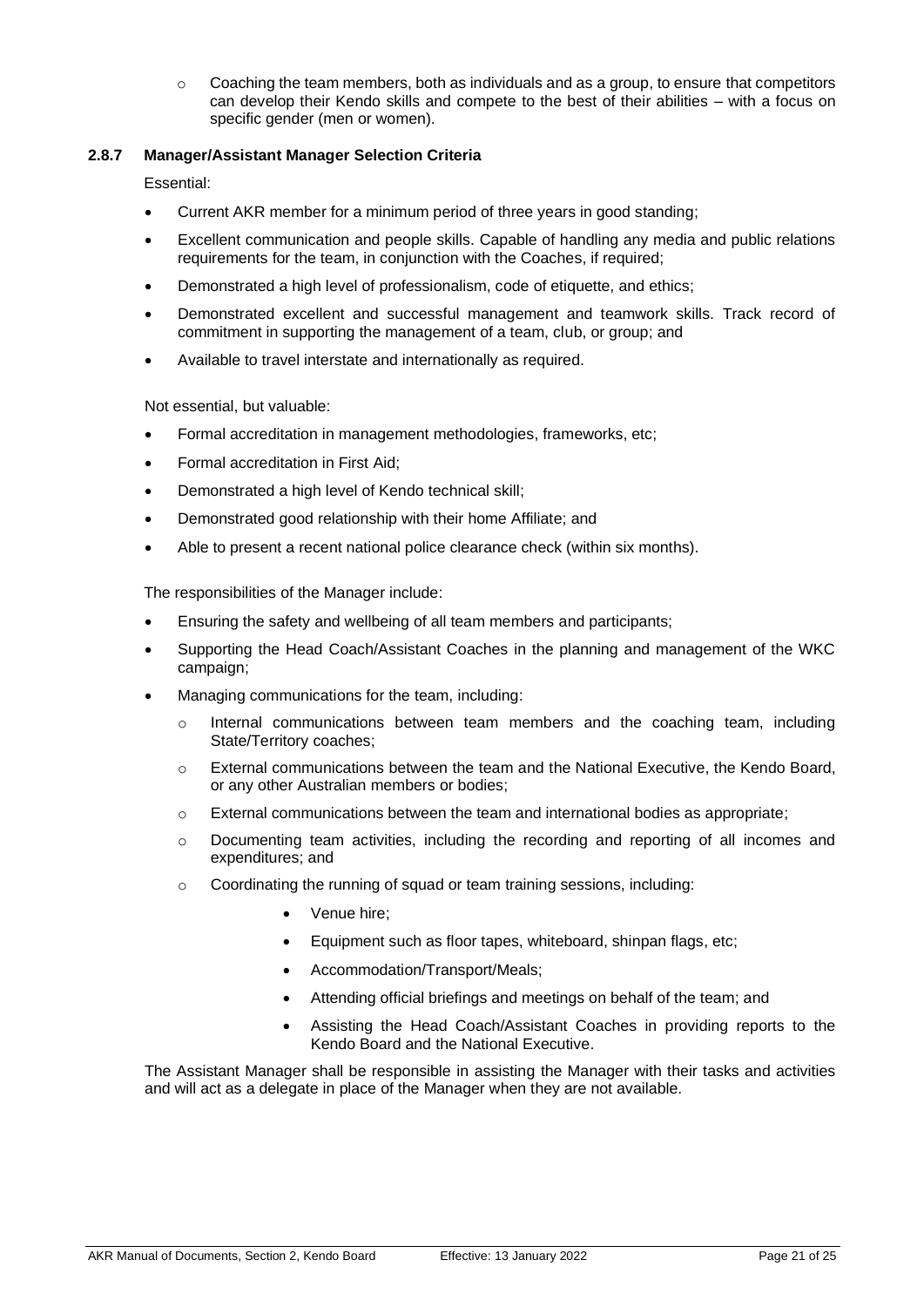$\circ$  Coaching the team members, both as individuals and as a group, to ensure that competitors can develop their Kendo skills and compete to the best of their abilities – with a focus on specific gender (men or women).

#### <span id="page-20-0"></span>**2.8.7 Manager/Assistant Manager Selection Criteria**

Essential:

- Current AKR member for a minimum period of three years in good standing;
- Excellent communication and people skills. Capable of handling any media and public relations requirements for the team, in conjunction with the Coaches, if required;
- Demonstrated a high level of professionalism, code of etiquette, and ethics;
- Demonstrated excellent and successful management and teamwork skills. Track record of commitment in supporting the management of a team, club, or group; and
- Available to travel interstate and internationally as required.

Not essential, but valuable:

- Formal accreditation in management methodologies, frameworks, etc;
- Formal accreditation in First Aid;
- Demonstrated a high level of Kendo technical skill;
- Demonstrated good relationship with their home Affiliate; and
- Able to present a recent national police clearance check (within six months).

The responsibilities of the Manager include:

- Ensuring the safety and wellbeing of all team members and participants;
- Supporting the Head Coach/Assistant Coaches in the planning and management of the WKC campaign;
- Managing communications for the team, including:
	- $\circ$  Internal communications between team members and the coaching team, including State/Territory coaches;
	- o External communications between the team and the National Executive, the Kendo Board, or any other Australian members or bodies;
	- $\circ$  External communications between the team and international bodies as appropriate;
	- o Documenting team activities, including the recording and reporting of all incomes and expenditures; and
	- o Coordinating the running of squad or team training sessions, including:
		- Venue hire;
		- Equipment such as floor tapes, whiteboard, shinpan flags, etc;
		- Accommodation/Transport/Meals;
		- Attending official briefings and meetings on behalf of the team; and
		- Assisting the Head Coach/Assistant Coaches in providing reports to the Kendo Board and the National Executive.

The Assistant Manager shall be responsible in assisting the Manager with their tasks and activities and will act as a delegate in place of the Manager when they are not available.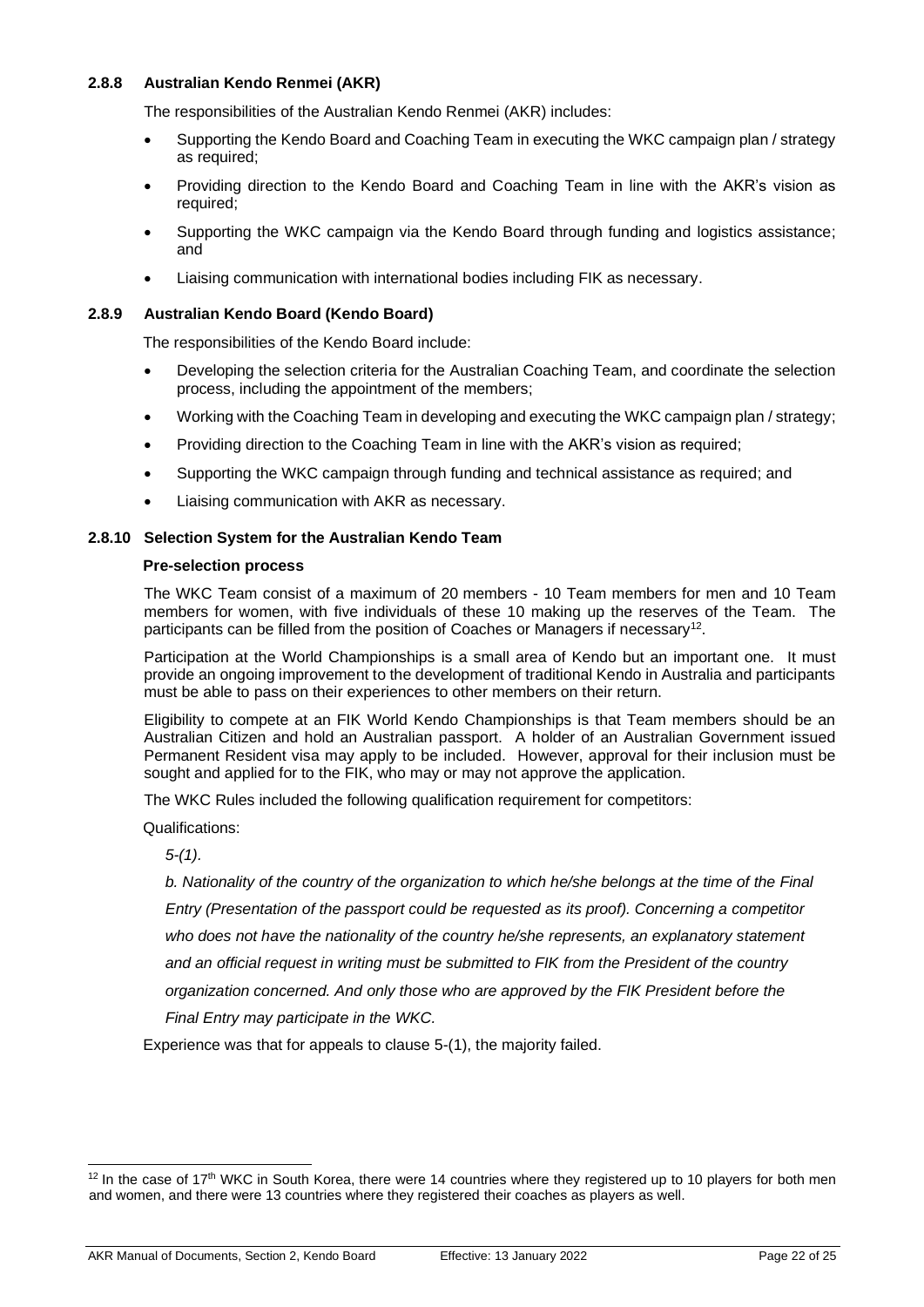#### <span id="page-21-0"></span>**2.8.8 Australian Kendo Renmei (AKR)**

The responsibilities of the Australian Kendo Renmei (AKR) includes:

- Supporting the Kendo Board and Coaching Team in executing the WKC campaign plan / strategy as required;
- Providing direction to the Kendo Board and Coaching Team in line with the AKR's vision as required;
- Supporting the WKC campaign via the Kendo Board through funding and logistics assistance; and
- Liaising communication with international bodies including FIK as necessary.

#### <span id="page-21-1"></span>**2.8.9 Australian Kendo Board (Kendo Board)**

The responsibilities of the Kendo Board include:

- Developing the selection criteria for the Australian Coaching Team, and coordinate the selection process, including the appointment of the members;
- Working with the Coaching Team in developing and executing the WKC campaign plan / strategy;
- Providing direction to the Coaching Team in line with the AKR's vision as required;
- Supporting the WKC campaign through funding and technical assistance as required; and
- Liaising communication with AKR as necessary.

#### <span id="page-21-2"></span>**2.8.10 Selection System for the Australian Kendo Team**

#### **Pre-selection process**

The WKC Team consist of a maximum of 20 members - 10 Team members for men and 10 Team members for women, with five individuals of these 10 making up the reserves of the Team. The participants can be filled from the position of Coaches or Managers if necessary<sup>12</sup>.

Participation at the World Championships is a small area of Kendo but an important one. It must provide an ongoing improvement to the development of traditional Kendo in Australia and participants must be able to pass on their experiences to other members on their return.

Eligibility to compete at an FIK World Kendo Championships is that Team members should be an Australian Citizen and hold an Australian passport. A holder of an Australian Government issued Permanent Resident visa may apply to be included. However, approval for their inclusion must be sought and applied for to the FIK, who may or may not approve the application.

The WKC Rules included the following qualification requirement for competitors:

Qualifications:

*5-(1).*

*b. Nationality of the country of the organization to which he/she belongs at the time of the Final*

*Entry (Presentation of the passport could be requested as its proof). Concerning a competitor who does not have the nationality of the country he/she represents, an explanatory statement and an official request in writing must be submitted to FIK from the President of the country*

*organization concerned. And only those who are approved by the FIK President before the*

*Final Entry may participate in the WKC.*

Experience was that for appeals to clause 5-(1), the majority failed.

 $12$  In the case of 17<sup>th</sup> WKC in South Korea, there were 14 countries where they registered up to 10 players for both men and women, and there were 13 countries where they registered their coaches as players as well.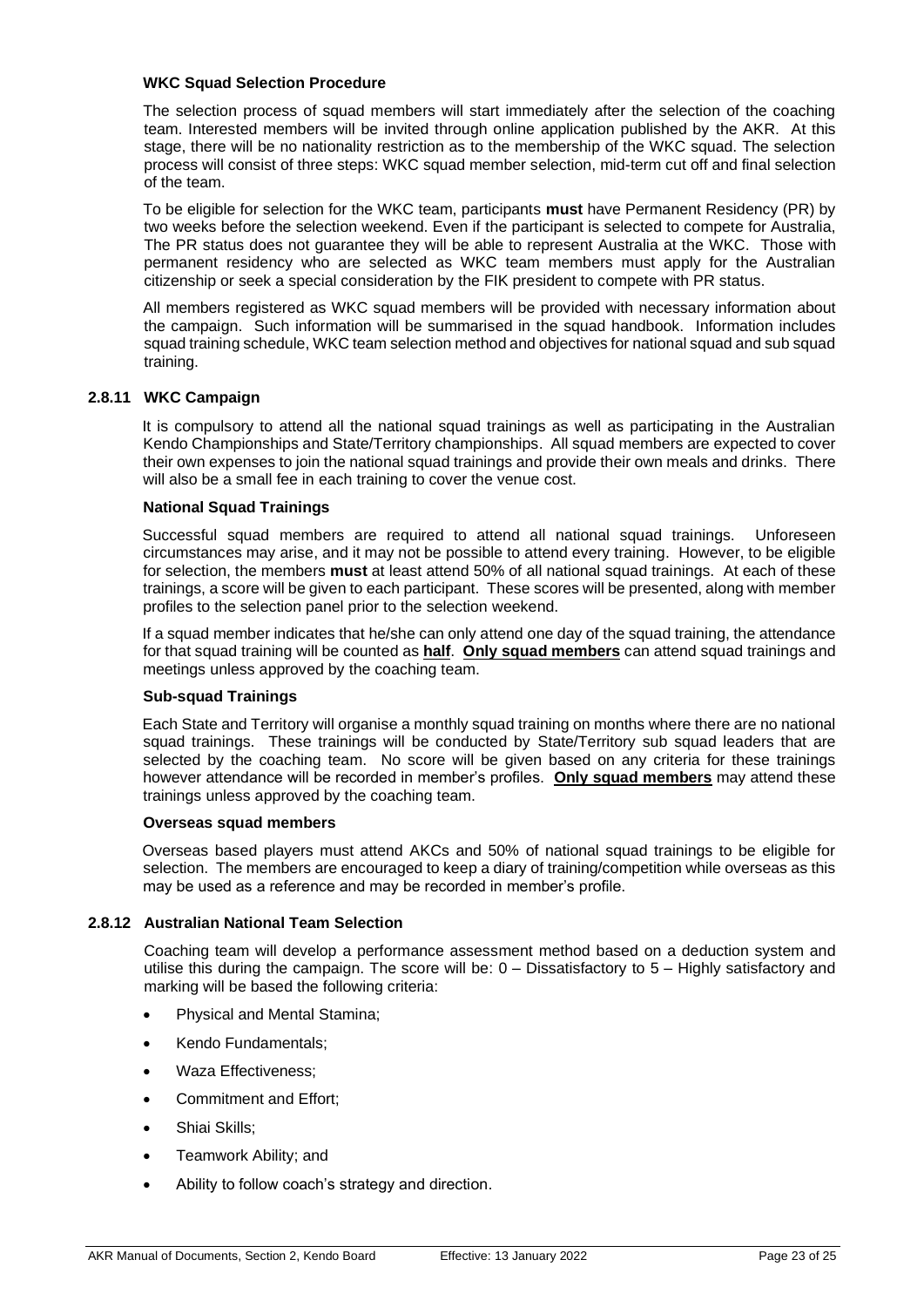#### **WKC Squad Selection Procedure**

The selection process of squad members will start immediately after the selection of the coaching team. Interested members will be invited through online application published by the AKR. At this stage, there will be no nationality restriction as to the membership of the WKC squad. The selection process will consist of three steps: WKC squad member selection, mid-term cut off and final selection of the team.

To be eligible for selection for the WKC team, participants **must** have Permanent Residency (PR) by two weeks before the selection weekend. Even if the participant is selected to compete for Australia, The PR status does not guarantee they will be able to represent Australia at the WKC. Those with permanent residency who are selected as WKC team members must apply for the Australian citizenship or seek a special consideration by the FIK president to compete with PR status.

All members registered as WKC squad members will be provided with necessary information about the campaign. Such information will be summarised in the squad handbook. Information includes squad training schedule, WKC team selection method and objectives for national squad and sub squad training.

#### <span id="page-22-0"></span>**2.8.11 WKC Campaign**

It is compulsory to attend all the national squad trainings as well as participating in the Australian Kendo Championships and State/Territory championships. All squad members are expected to cover their own expenses to join the national squad trainings and provide their own meals and drinks. There will also be a small fee in each training to cover the venue cost.

#### **National Squad Trainings**

Successful squad members are required to attend all national squad trainings. Unforeseen circumstances may arise, and it may not be possible to attend every training. However, to be eligible for selection, the members **must** at least attend 50% of all national squad trainings. At each of these trainings, a score will be given to each participant. These scores will be presented, along with member profiles to the selection panel prior to the selection weekend.

If a squad member indicates that he/she can only attend one day of the squad training, the attendance for that squad training will be counted as **half**. **Only squad members** can attend squad trainings and meetings unless approved by the coaching team.

#### **Sub-squad Trainings**

Each State and Territory will organise a monthly squad training on months where there are no national squad trainings. These trainings will be conducted by State/Territory sub squad leaders that are selected by the coaching team. No score will be given based on any criteria for these trainings however attendance will be recorded in member's profiles. **Only squad members** may attend these trainings unless approved by the coaching team.

#### **Overseas squad members**

Overseas based players must attend AKCs and 50% of national squad trainings to be eligible for selection. The members are encouraged to keep a diary of training/competition while overseas as this may be used as a reference and may be recorded in member's profile.

#### <span id="page-22-1"></span>**2.8.12 Australian National Team Selection**

Coaching team will develop a performance assessment method based on a deduction system and utilise this during the campaign. The score will be: 0 – Dissatisfactory to 5 – Highly satisfactory and marking will be based the following criteria:

- Physical and Mental Stamina;
- Kendo Fundamentals;
- Waza Effectiveness;
- Commitment and Effort:
- Shiai Skills;
- Teamwork Ability; and
- Ability to follow coach's strategy and direction.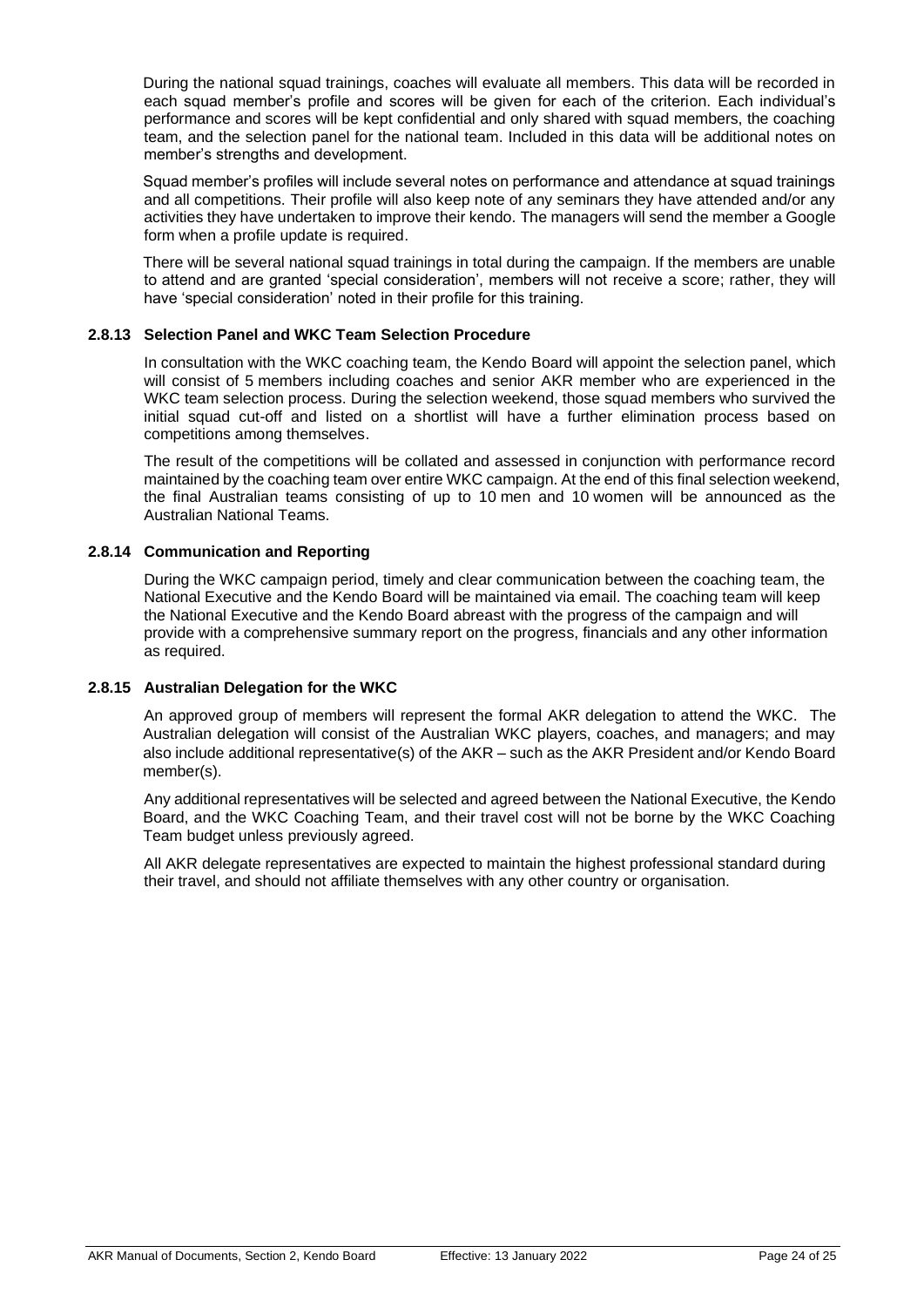During the national squad trainings, coaches will evaluate all members. This data will be recorded in each squad member's profile and scores will be given for each of the criterion. Each individual's performance and scores will be kept confidential and only shared with squad members, the coaching team, and the selection panel for the national team. Included in this data will be additional notes on member's strengths and development.

Squad member's profiles will include several notes on performance and attendance at squad trainings and all competitions. Their profile will also keep note of any seminars they have attended and/or any activities they have undertaken to improve their kendo. The managers will send the member a Google form when a profile update is required.

There will be several national squad trainings in total during the campaign. If the members are unable to attend and are granted 'special consideration', members will not receive a score; rather, they will have 'special consideration' noted in their profile for this training.

#### <span id="page-23-0"></span>**2.8.13 Selection Panel and WKC Team Selection Procedure**

In consultation with the WKC coaching team, the Kendo Board will appoint the selection panel, which will consist of 5 members including coaches and senior AKR member who are experienced in the WKC team selection process. During the selection weekend, those squad members who survived the initial squad cut-off and listed on a shortlist will have a further elimination process based on competitions among themselves.

The result of the competitions will be collated and assessed in conjunction with performance record maintained by the coaching team over entire WKC campaign. At the end of this final selection weekend, the final Australian teams consisting of up to 10 men and 10 women will be announced as the Australian National Teams.

#### <span id="page-23-1"></span>**2.8.14 Communication and Reporting**

During the WKC campaign period, timely and clear communication between the coaching team, the National Executive and the Kendo Board will be maintained via email. The coaching team will keep the National Executive and the Kendo Board abreast with the progress of the campaign and will provide with a comprehensive summary report on the progress, financials and any other information as required.

#### <span id="page-23-2"></span>**2.8.15 Australian Delegation for the WKC**

An approved group of members will represent the formal AKR delegation to attend the WKC. The Australian delegation will consist of the Australian WKC players, coaches, and managers; and may also include additional representative(s) of the AKR – such as the AKR President and/or Kendo Board member(s).

Any additional representatives will be selected and agreed between the National Executive, the Kendo Board, and the WKC Coaching Team, and their travel cost will not be borne by the WKC Coaching Team budget unless previously agreed.

All AKR delegate representatives are expected to maintain the highest professional standard during their travel, and should not affiliate themselves with any other country or organisation.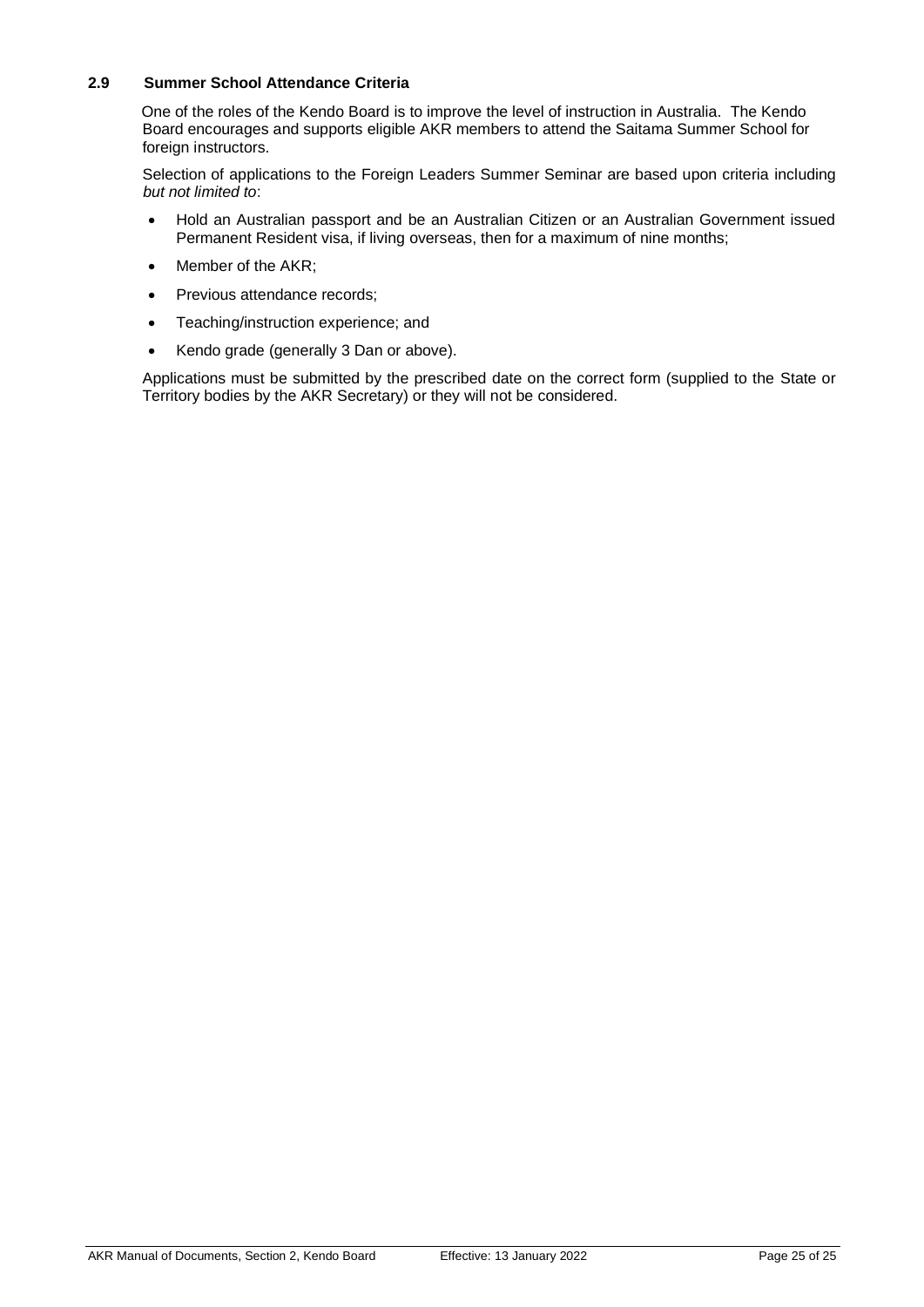#### <span id="page-24-0"></span>**2.9 Summer School Attendance Criteria**

One of the roles of the Kendo Board is to improve the level of instruction in Australia. The Kendo Board encourages and supports eligible AKR members to attend the Saitama Summer School for foreign instructors.

Selection of applications to the Foreign Leaders Summer Seminar are based upon criteria including *but not limited to*:

- Hold an Australian passport and be an Australian Citizen or an Australian Government issued Permanent Resident visa, if living overseas, then for a maximum of nine months;
- Member of the AKR:
- Previous attendance records;
- Teaching/instruction experience; and
- Kendo grade (generally 3 Dan or above).

Applications must be submitted by the prescribed date on the correct form (supplied to the State or Territory bodies by the AKR Secretary) or they will not be considered.